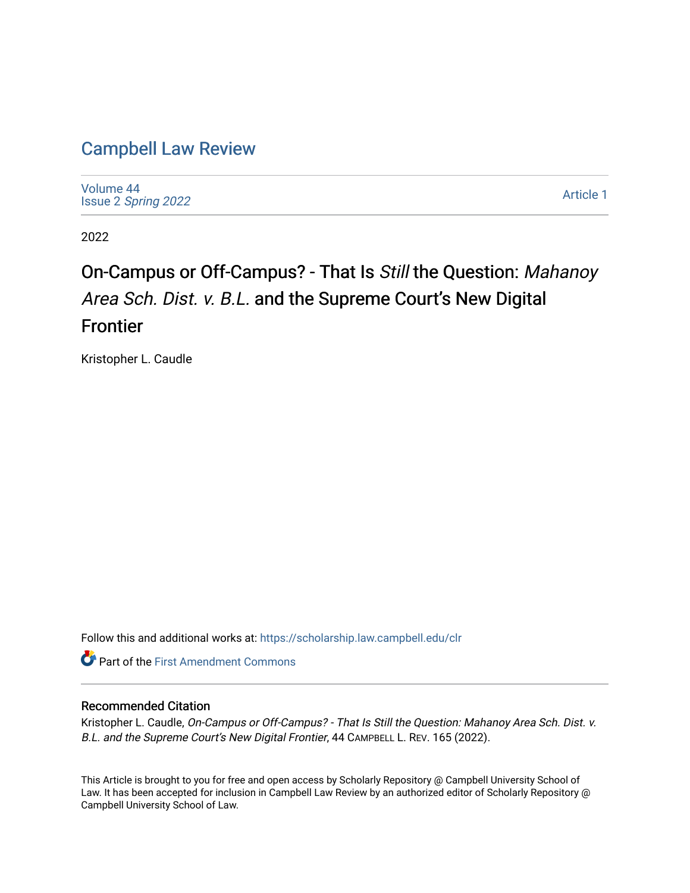## [Campbell Law Review](https://scholarship.law.campbell.edu/clr)

[Volume 44](https://scholarship.law.campbell.edu/clr/vol44) Issue 2 [Spring 2022](https://scholarship.law.campbell.edu/clr/vol44/iss2) 

[Article 1](https://scholarship.law.campbell.edu/clr/vol44/iss2/1) 

2022

# On-Campus or Off-Campus? - That Is Still the Question: Mahanoy Area Sch. Dist. v. B.L. and the Supreme Court's New Digital Frontier

Kristopher L. Caudle

Follow this and additional works at: [https://scholarship.law.campbell.edu/clr](https://scholarship.law.campbell.edu/clr?utm_source=scholarship.law.campbell.edu%2Fclr%2Fvol44%2Fiss2%2F1&utm_medium=PDF&utm_campaign=PDFCoverPages) 

**Part of the First Amendment Commons** 

## Recommended Citation

Kristopher L. Caudle, On-Campus or Off-Campus? - That Is Still the Question: Mahanoy Area Sch. Dist. v. B.L. and the Supreme Court's New Digital Frontier, 44 CAMPBELL L. REV. 165 (2022).

This Article is brought to you for free and open access by Scholarly Repository @ Campbell University School of Law. It has been accepted for inclusion in Campbell Law Review by an authorized editor of Scholarly Repository @ Campbell University School of Law.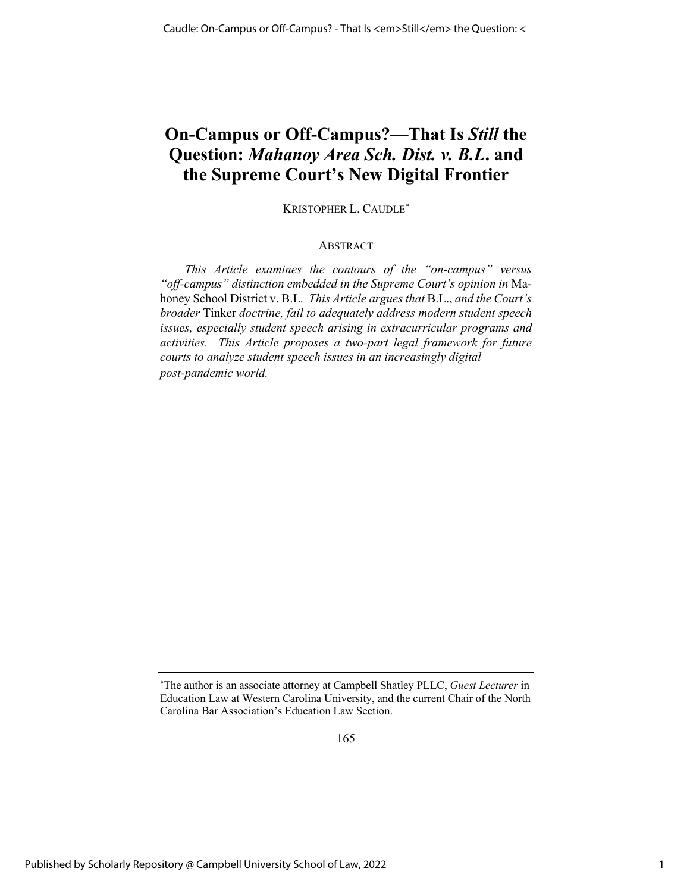## **On-Campus or Off-Campus?—That Is** *Still* **the Question:** *Mahanoy Area Sch. Dist. v. B.L***. and the Supreme Court's New Digital Frontier**

KRISTOPHER L. CAUDLE\*

## ABSTRACT

*This Article examines the contours of the "on-campus" versus "off-campus" distinction embedded in the Supreme Court's opinion in* Mahoney School District v. B.L*. This Article argues that* B.L., *and the Court's broader* Tinker *doctrine, fail to adequately address modern student speech issues, especially student speech arising in extracurricular programs and activities. This Article proposes a two-part legal framework for future courts to analyze student speech issues in an increasingly digital post-pandemic world.*

165

<sup>\*</sup> The author is an associate attorney at Campbell Shatley PLLC, *Guest Lecturer* in Education Law at Western Carolina University, and the current Chair of the North Carolina Bar Association's Education Law Section.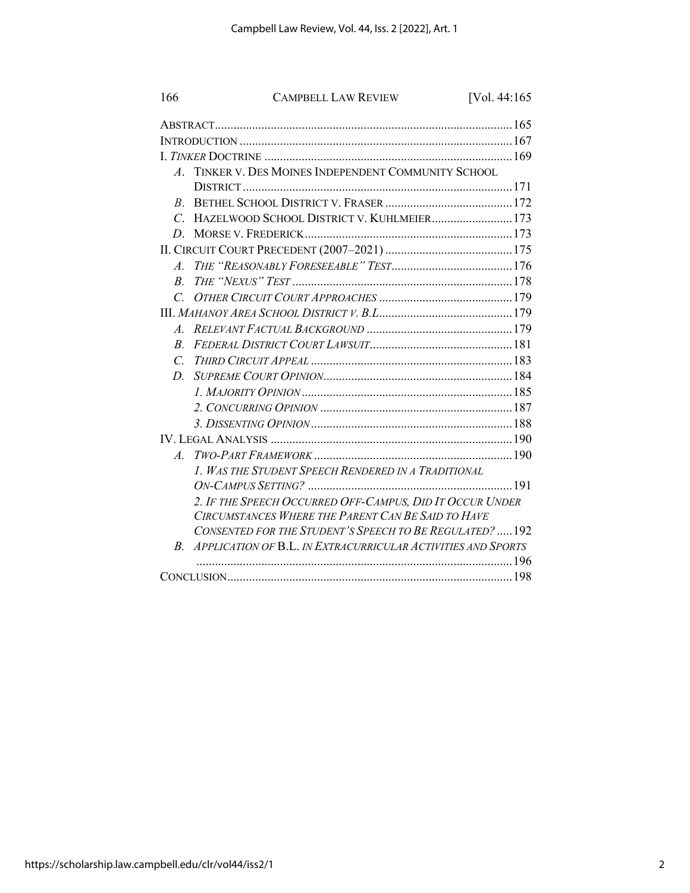| 166              | <b>CAMPBELL LAW REVIEW</b>                                   | [Vol. 44:165 |
|------------------|--------------------------------------------------------------|--------------|
|                  |                                                              |              |
|                  |                                                              |              |
|                  |                                                              |              |
| $\boldsymbol{A}$ | TINKER V. DES MOINES INDEPENDENT COMMUNITY SCHOOL            |              |
|                  |                                                              |              |
| $B_{\cdot}$      |                                                              |              |
| $\mathcal{C}$    | HAZELWOOD SCHOOL DISTRICT V. KUHLMEIER 173                   |              |
| D.               |                                                              |              |
|                  |                                                              |              |
| $\overline{A}$   |                                                              |              |
| R.               |                                                              |              |
| $\mathcal{C}$    |                                                              |              |
|                  |                                                              |              |
| $\overline{A}$ . |                                                              |              |
| $\overline{B}$   |                                                              |              |
| $\mathcal{C}$    |                                                              |              |
| D.               |                                                              |              |
|                  |                                                              |              |
|                  |                                                              |              |
|                  |                                                              |              |
|                  |                                                              |              |
| $\overline{A}$   |                                                              |              |
|                  | 1. WAS THE STUDENT SPEECH RENDERED IN A TRADITIONAL          |              |
|                  |                                                              |              |
|                  | 2. IF THE SPEECH OCCURRED OFF-CAMPUS, DID IT OCCUR UNDER     |              |
|                  | CIRCUMSTANCES WHERE THE PARENT CAN BE SAID TO HAVE           |              |
|                  | CONSENTED FOR THE STUDENT'S SPEECH TO BE REGULATED?  192     |              |
| $B_{-}$          | APPLICATION OF B.L. IN EXTRACURRICULAR ACTIVITIES AND SPORTS |              |
|                  |                                                              |              |
|                  |                                                              |              |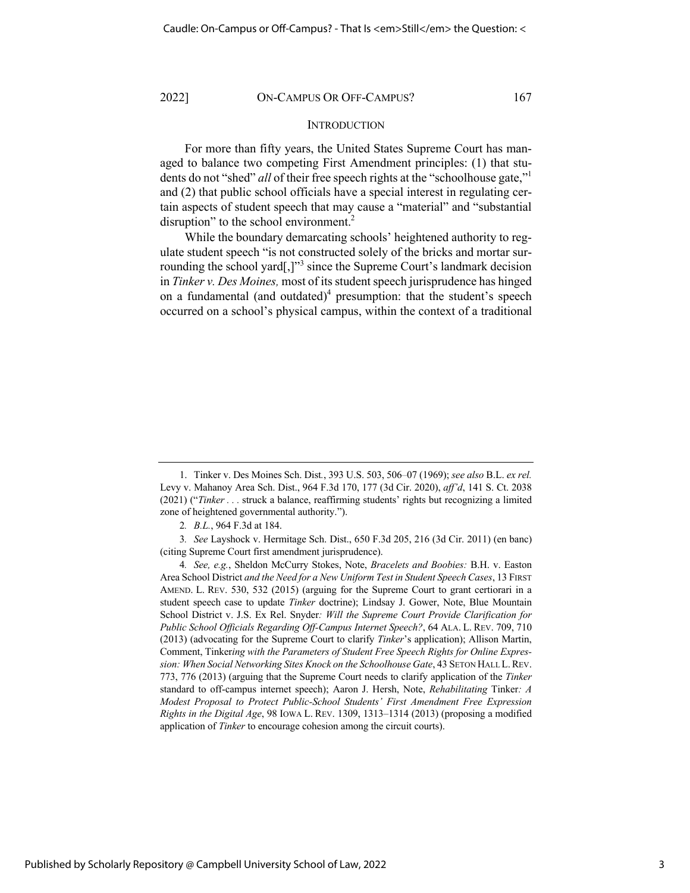## **INTRODUCTION**

For more than fifty years, the United States Supreme Court has managed to balance two competing First Amendment principles: (1) that students do not "shed" *all* of their free speech rights at the "schoolhouse gate,"<sup>1</sup> and (2) that public school officials have a special interest in regulating certain aspects of student speech that may cause a "material" and "substantial disruption" to the school environment.<sup>2</sup>

While the boundary demarcating schools' heightened authority to regulate student speech "is not constructed solely of the bricks and mortar surrounding the school yard[,] $"$ <sup>3</sup> since the Supreme Court's landmark decision in *Tinker v. Des Moines,* most of its student speech jurisprudence has hinged on a fundamental (and outdated)<sup>4</sup> presumption: that the student's speech occurred on a school's physical campus, within the context of a traditional

<sup>1.</sup> Tinker v. Des Moines Sch. Dist*.*, 393 U.S. 503, 506–07 (1969); *see also* B.L. *ex rel.* Levy v. Mahanoy Area Sch. Dist., 964 F.3d 170, 177 (3d Cir. 2020), *aff'd*, 141 S. Ct. 2038 (2021) ("*Tinker . . .* struck a balance, reaffirming students' rights but recognizing a limited zone of heightened governmental authority.").

<sup>2</sup>*. B.L.*, 964 F.3d at 184.

<sup>3</sup>*. See* Layshock v. Hermitage Sch. Dist., 650 F.3d 205, 216 (3d Cir. 2011) (en banc) (citing Supreme Court first amendment jurisprudence).

<sup>4</sup>*. See, e.g.*, Sheldon McCurry Stokes, Note, *Bracelets and Boobies:* B.H. v. Easton Area School District *and the Need for a New Uniform Test in Student Speech Cases*, 13 FIRST AMEND. L. REV. 530, 532 (2015) (arguing for the Supreme Court to grant certiorari in a student speech case to update *Tinker* doctrine); Lindsay J. Gower, Note, Blue Mountain School District v. J.S. Ex Rel. Snyder*: Will the Supreme Court Provide Clarification for Public School Officials Regarding Off-Campus Internet Speech?*, 64 ALA. L. REV. 709, 710 (2013) (advocating for the Supreme Court to clarify *Tinker*'s application); Allison Martin, Comment, Tinker*ing with the Parameters of Student Free Speech Rights for Online Expression: When Social Networking Sites Knock on the Schoolhouse Gate*, 43 SETON HALL L.REV. 773, 776 (2013) (arguing that the Supreme Court needs to clarify application of the *Tinker* standard to off-campus internet speech); Aaron J. Hersh, Note, *Rehabilitating* Tinker*: A Modest Proposal to Protect Public-School Students' First Amendment Free Expression Rights in the Digital Age*, 98 IOWA L. REV. 1309, 1313–1314 (2013) (proposing a modified application of *Tinker* to encourage cohesion among the circuit courts).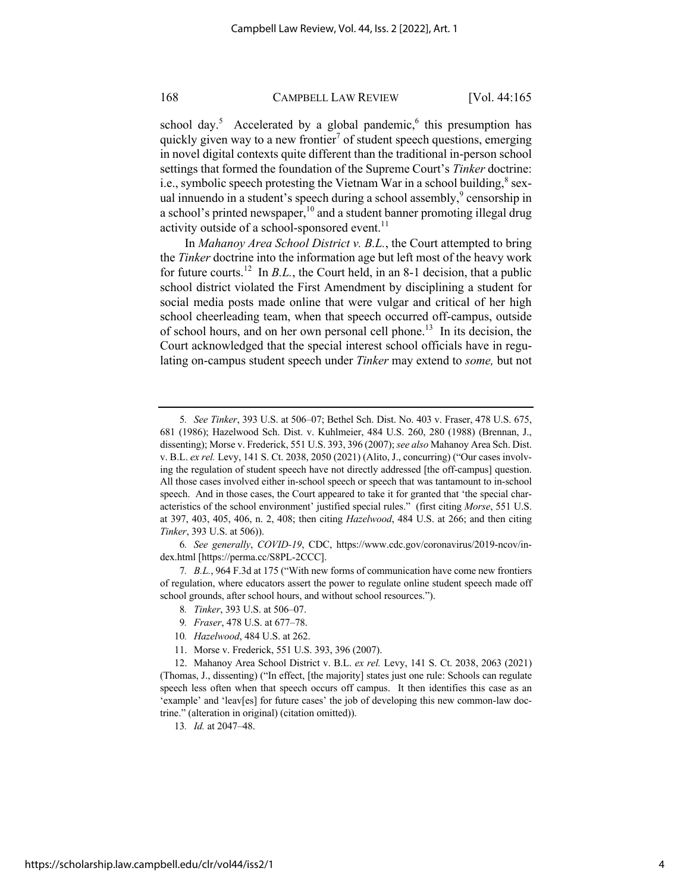school day.<sup>5</sup> Accelerated by a global pandemic,<sup>6</sup> this presumption has quickly given way to a new frontier<sup>7</sup> of student speech questions, emerging in novel digital contexts quite different than the traditional in-person school settings that formed the foundation of the Supreme Court's *Tinker* doctrine: i.e., symbolic speech protesting the Vietnam War in a school building, $\delta$  sexual innuendo in a student's speech during a school assembly, $9$  censorship in a school's printed newspaper,  $10$  and a student banner promoting illegal drug activity outside of a school-sponsored event.<sup>11</sup>

In *Mahanoy Area School District v. B.L.*, the Court attempted to bring the *Tinker* doctrine into the information age but left most of the heavy work for future courts.<sup>12</sup> In *B.L.*, the Court held, in an 8-1 decision, that a public school district violated the First Amendment by disciplining a student for social media posts made online that were vulgar and critical of her high school cheerleading team, when that speech occurred off-campus, outside of school hours, and on her own personal cell phone.<sup>13</sup> In its decision, the Court acknowledged that the special interest school officials have in regulating on-campus student speech under *Tinker* may extend to *some,* but not

6*. See generally*, *COVID-19*, CDC, https://www.cdc.gov/coronavirus/2019-ncov/index.html [https://perma.cc/S8PL-2CCC].

- 9*. Fraser*, 478 U.S. at 677–78.
- 10*. Hazelwood*, 484 U.S. at 262.
- 11. Morse v. Frederick, 551 U.S. 393, 396 (2007).

13*. Id.* at 2047–48.

<sup>5</sup>*. See Tinker*, 393 U.S. at 506–07; Bethel Sch. Dist. No. 403 v. Fraser, 478 U.S. 675, 681 (1986); Hazelwood Sch. Dist. v. Kuhlmeier, 484 U.S. 260, 280 (1988) (Brennan, J., dissenting); Morse v. Frederick, 551 U.S. 393, 396 (2007); *see also* Mahanoy Area Sch. Dist. v. B.L. *ex rel.* Levy, 141 S. Ct. 2038, 2050 (2021) (Alito, J., concurring) ("Our cases involving the regulation of student speech have not directly addressed [the off-campus] question. All those cases involved either in-school speech or speech that was tantamount to in-school speech. And in those cases, the Court appeared to take it for granted that 'the special characteristics of the school environment' justified special rules." (first citing *Morse*, 551 U.S. at 397, 403, 405, 406, n. 2, 408; then citing *Hazelwood*, 484 U.S. at 266; and then citing *Tinker*, 393 U.S. at 506)).

<sup>7</sup>*. B.L.*, 964 F.3d at 175 ("With new forms of communication have come new frontiers of regulation, where educators assert the power to regulate online student speech made off school grounds, after school hours, and without school resources.").

<sup>8</sup>*. Tinker*, 393 U.S. at 506–07.

<sup>12.</sup> Mahanoy Area School District v. B.L. *ex rel.* Levy, 141 S. Ct. 2038, 2063 (2021) (Thomas, J., dissenting) ("In effect, [the majority] states just one rule: Schools can regulate speech less often when that speech occurs off campus. It then identifies this case as an 'example' and 'leav[es] for future cases' the job of developing this new common-law doctrine." (alteration in original) (citation omitted)).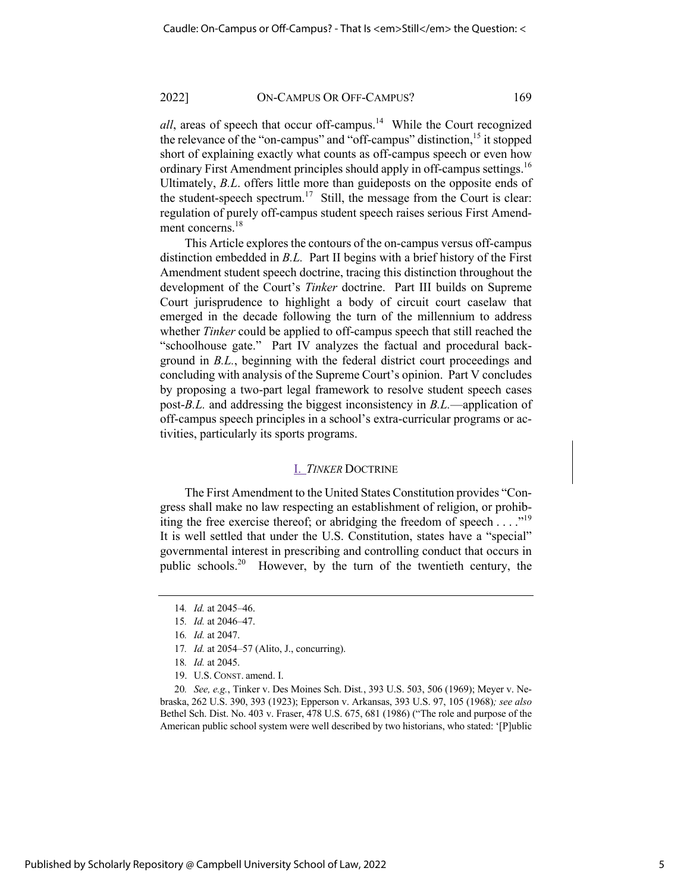*all*, areas of speech that occur off-campus.<sup>14</sup> While the Court recognized the relevance of the "on-campus" and "off-campus" distinction, <sup>15</sup> it stopped short of explaining exactly what counts as off-campus speech or even how ordinary First Amendment principles should apply in off-campus settings.<sup>16</sup> Ultimately, *B.L*. offers little more than guideposts on the opposite ends of the student-speech spectrum.<sup>17</sup> Still, the message from the Court is clear: regulation of purely off-campus student speech raises serious First Amendment concerns.<sup>18</sup>

This Article explores the contours of the on-campus versus off-campus distinction embedded in *B.L.* Part II begins with a brief history of the First Amendment student speech doctrine, tracing this distinction throughout the development of the Court's *Tinker* doctrine. Part III builds on Supreme Court jurisprudence to highlight a body of circuit court caselaw that emerged in the decade following the turn of the millennium to address whether *Tinker* could be applied to off-campus speech that still reached the "schoolhouse gate." Part IV analyzes the factual and procedural background in *B.L.*, beginning with the federal district court proceedings and concluding with analysis of the Supreme Court's opinion. Part V concludes by proposing a two-part legal framework to resolve student speech cases post-*B.L.* and addressing the biggest inconsistency in *B.L.*—application of off-campus speech principles in a school's extra-curricular programs or activities, particularly its sports programs.

## I. *TINKER* DOCTRINE

The First Amendment to the United States Constitution provides "Congress shall make no law respecting an establishment of religion, or prohibiting the free exercise thereof; or abridging the freedom of speech . . . . "<sup>19</sup> It is well settled that under the U.S. Constitution, states have a "special" governmental interest in prescribing and controlling conduct that occurs in public schools.<sup>20</sup> However, by the turn of the twentieth century, the

20*. See, e.g.*, Tinker v. Des Moines Sch. Dist*.*, 393 U.S. 503, 506 (1969); Meyer v. Nebraska, 262 U.S. 390, 393 (1923); Epperson v. Arkansas, 393 U.S. 97, 105 (1968)*; see also* Bethel Sch. Dist. No. 403 v. Fraser, 478 U.S. 675, 681 (1986) ("The role and purpose of the American public school system were well described by two historians, who stated: '[P]ublic

<sup>14</sup>*. Id.* at 2045–46.

<sup>15</sup>*. Id.* at 2046–47.

<sup>16</sup>*. Id.* at 2047.

<sup>17</sup>*. Id.* at 2054–57 (Alito, J., concurring).

<sup>18</sup>*. Id.* at 2045.

<sup>19.</sup> U.S. CONST. amend. I.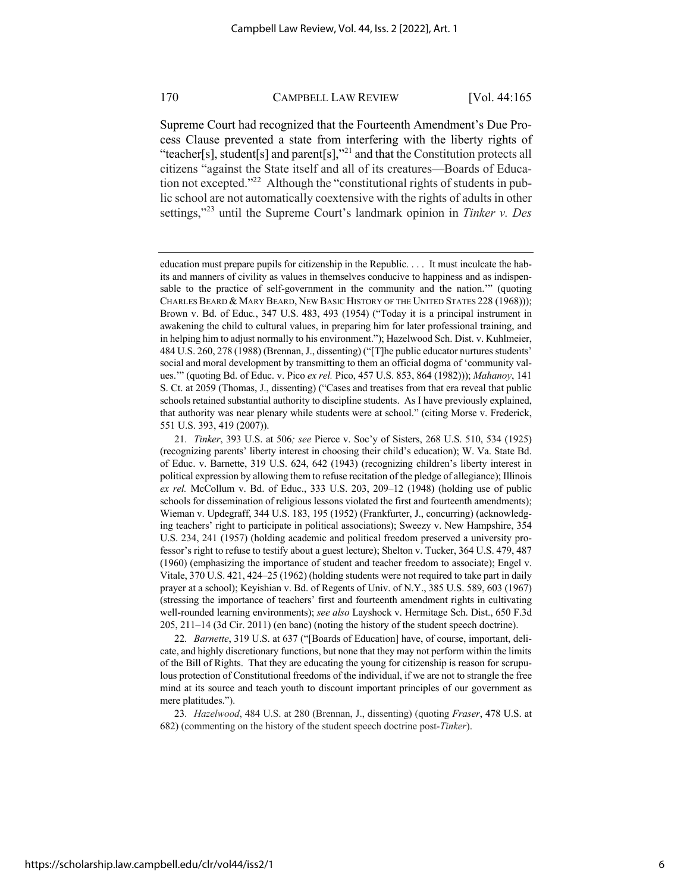Supreme Court had recognized that the Fourteenth Amendment's Due Process Clause prevented a state from interfering with the liberty rights of "teacher[s], student[s] and parent[s],"<sup>21</sup> and that the Constitution protects all citizens "against the State itself and all of its creatures—Boards of Education not excepted."<sup>22</sup> Although the "constitutional rights of students in public school are not automatically coextensive with the rights of adults in other settings,"<sup>23</sup> until the Supreme Court's landmark opinion in *Tinker v. Des* 

education must prepare pupils for citizenship in the Republic. . . . It must inculcate the habits and manners of civility as values in themselves conducive to happiness and as indispensable to the practice of self-government in the community and the nation.'" (quoting CHARLES BEARD & MARY BEARD, NEW BASIC HISTORY OF THE UNITED STATES 228 (1968))); Brown v. Bd. of Educ*.*, 347 U.S. 483, 493 (1954) ("Today it is a principal instrument in awakening the child to cultural values, in preparing him for later professional training, and in helping him to adjust normally to his environment."); Hazelwood Sch. Dist. v. Kuhlmeier, 484 U.S. 260, 278 (1988) (Brennan, J., dissenting) ("[T]he public educator nurtures students' social and moral development by transmitting to them an official dogma of 'community values.'" (quoting Bd. of Educ. v. Pico *ex rel.* Pico, 457 U.S. 853, 864 (1982))); *Mahanoy*, 141 S. Ct. at 2059 (Thomas, J., dissenting) ("Cases and treatises from that era reveal that public schools retained substantial authority to discipline students. As I have previously explained, that authority was near plenary while students were at school." (citing Morse v. Frederick, 551 U.S. 393, 419 (2007)).

<sup>21</sup>*. Tinker*, 393 U.S. at 506*; see* Pierce v. Soc'y of Sisters, 268 U.S. 510, 534 (1925) (recognizing parents' liberty interest in choosing their child's education); W. Va. State Bd. of Educ. v. Barnette, 319 U.S. 624, 642 (1943) (recognizing children's liberty interest in political expression by allowing them to refuse recitation of the pledge of allegiance); Illinois *ex rel.* McCollum v. Bd. of Educ., 333 U.S. 203, 209–12 (1948) (holding use of public schools for dissemination of religious lessons violated the first and fourteenth amendments); Wieman v. Updegraff, 344 U.S. 183, 195 (1952) (Frankfurter, J., concurring) (acknowledging teachers' right to participate in political associations); Sweezy v. New Hampshire, 354 U.S. 234, 241 (1957) (holding academic and political freedom preserved a university professor's right to refuse to testify about a guest lecture); Shelton v. Tucker, 364 U.S. 479, 487 (1960) (emphasizing the importance of student and teacher freedom to associate); Engel v. Vitale, 370 U.S. 421, 424–25 (1962) (holding students were not required to take part in daily prayer at a school); Keyishian v. Bd. of Regents of Univ. of N.Y., 385 U.S. 589, 603 (1967) (stressing the importance of teachers' first and fourteenth amendment rights in cultivating well-rounded learning environments); *see also* Layshock v. Hermitage Sch. Dist., 650 F.3d 205, 211–14 (3d Cir. 2011) (en banc) (noting the history of the student speech doctrine).

<sup>22</sup>*. Barnette*, 319 U.S. at 637 ("[Boards of Education] have, of course, important, delicate, and highly discretionary functions, but none that they may not perform within the limits of the Bill of Rights. That they are educating the young for citizenship is reason for scrupulous protection of Constitutional freedoms of the individual, if we are not to strangle the free mind at its source and teach youth to discount important principles of our government as mere platitudes.").

<sup>23</sup>*. Hazelwood*, 484 U.S. at 280 (Brennan, J., dissenting) (quoting *Fraser*, 478 U.S. at 682) (commenting on the history of the student speech doctrine post-*Tinker*).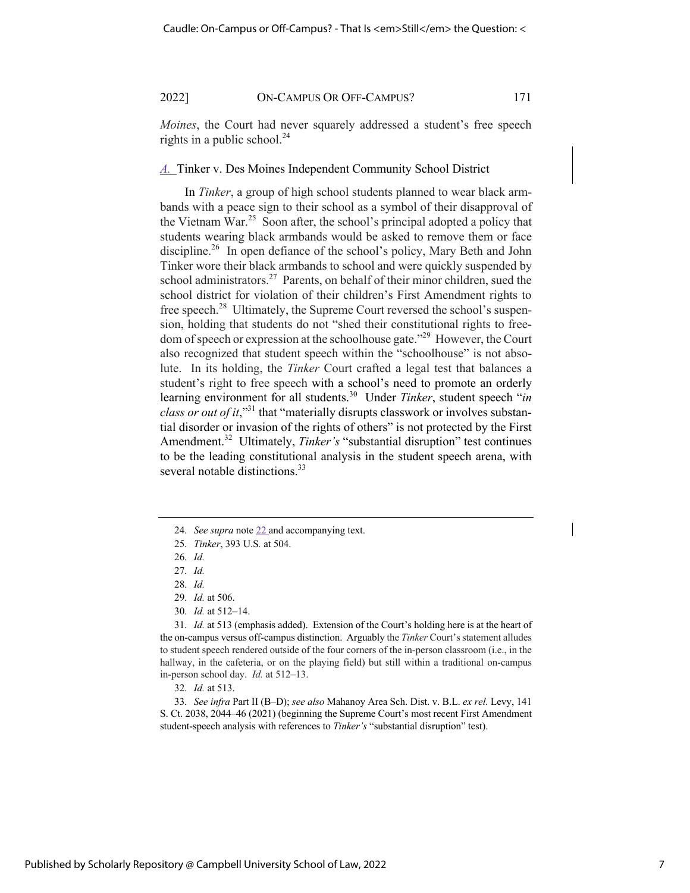*Moines*, the Court had never squarely addressed a student's free speech rights in a public school. $24$ 

#### *A.* Tinker v. Des Moines Independent Community School District

In *Tinker*, a group of high school students planned to wear black armbands with a peace sign to their school as a symbol of their disapproval of the Vietnam War.<sup>25</sup> Soon after, the school's principal adopted a policy that students wearing black armbands would be asked to remove them or face discipline.<sup>26</sup> In open defiance of the school's policy, Mary Beth and John Tinker wore their black armbands to school and were quickly suspended by school administrators.<sup>27</sup> Parents, on behalf of their minor children, sued the school district for violation of their children's First Amendment rights to free speech.<sup>28</sup> Ultimately, the Supreme Court reversed the school's suspension, holding that students do not "shed their constitutional rights to freedom of speech or expression at the schoolhouse gate."<sup>29</sup> However, the Court also recognized that student speech within the "schoolhouse" is not absolute. In its holding, the *Tinker* Court crafted a legal test that balances a student's right to free speech with a school's need to promote an orderly learning environment for all students.30 Under *Tinker*, student speech "*in class or out of it*,"31 that "materially disrupts classwork or involves substantial disorder or invasion of the rights of others" is not protected by the First Amendment.<sup>32</sup> Ultimately, *Tinker's* "substantial disruption" test continues to be the leading constitutional analysis in the student speech arena, with several notable distinctions.<sup>33</sup>

30*. Id.* at 512–14.

31*. Id.* at 513 (emphasis added). Extension of the Court's holding here is at the heart of the on-campus versus off-campus distinction. Arguably the *Tinker* Court's statement alludes to student speech rendered outside of the four corners of the in-person classroom (i.e., in the hallway, in the cafeteria, or on the playing field) but still within a traditional on-campus in-person school day. *Id.* at 512–13.

32*. Id.* at 513.

33*. See infra* Part II (B–D); *see also* Mahanoy Area Sch. Dist. v. B.L. *ex rel.* Levy, 141 S. Ct. 2038, 2044–46 (2021) (beginning the Supreme Court's most recent First Amendment student-speech analysis with references to *Tinker's* "substantial disruption" test).

<sup>24</sup>*. See supra* note 22 and accompanying text.

<sup>25</sup>*. Tinker*, 393 U.S*.* at 504.

<sup>26</sup>*. Id.*

<sup>27</sup>*. Id.*

<sup>28</sup>*. Id.*

<sup>29</sup>*. Id.* at 506.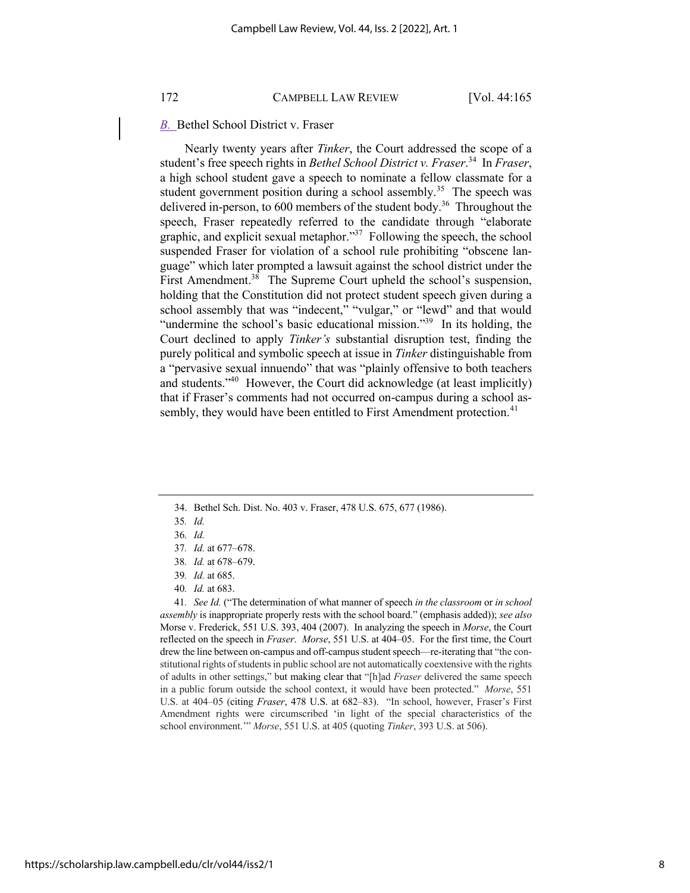## *B.* Bethel School District v. Fraser

Nearly twenty years after *Tinker*, the Court addressed the scope of a student's free speech rights in *Bethel School District v. Fraser*. 34 In *Fraser*, a high school student gave a speech to nominate a fellow classmate for a student government position during a school assembly.<sup>35</sup> The speech was delivered in-person, to 600 members of the student body.<sup>36</sup> Throughout the speech, Fraser repeatedly referred to the candidate through "elaborate graphic, and explicit sexual metaphor."37 Following the speech, the school suspended Fraser for violation of a school rule prohibiting "obscene language" which later prompted a lawsuit against the school district under the First Amendment. $38$  The Supreme Court upheld the school's suspension, holding that the Constitution did not protect student speech given during a school assembly that was "indecent," "vulgar," or "lewd" and that would "undermine the school's basic educational mission."<sup>39</sup> In its holding, the Court declined to apply *Tinker's* substantial disruption test, finding the purely political and symbolic speech at issue in *Tinker* distinguishable from a "pervasive sexual innuendo" that was "plainly offensive to both teachers and students. $140$  However, the Court did acknowledge (at least implicitly) that if Fraser's comments had not occurred on-campus during a school assembly, they would have been entitled to First Amendment protection.<sup>41</sup>

41*. See Id.* ("The determination of what manner of speech *in the classroom* or *in school assembly* is inappropriate properly rests with the school board." (emphasis added)); *see also* Morse v. Frederick, 551 U.S. 393, 404 (2007). In analyzing the speech in *Morse*, the Court reflected on the speech in *Fraser*. *Morse*, 551 U.S. at 404–05. For the first time, the Court drew the line between on-campus and off-campus student speech—re-iterating that "the constitutional rights of students in public school are not automatically coextensive with the rights of adults in other settings," but making clear that "[h]ad *Fraser* delivered the same speech in a public forum outside the school context, it would have been protected." *Morse*, 551 U.S. at 404–05 (citing *Fraser*, 478 U.S. at 682–83). "In school, however, Fraser's First Amendment rights were circumscribed 'in light of the special characteristics of the school environment.'" *Morse*, 551 U.S. at 405 (quoting *Tinker*, 393 U.S. at 506).

<sup>34.</sup> Bethel Sch. Dist. No. 403 v. Fraser, 478 U.S. 675, 677 (1986).

<sup>35</sup>*. Id.*

<sup>36</sup>*. Id.*

<sup>37</sup>*. Id.* at 677–678.

<sup>38</sup>*. Id.* at 678–679.

<sup>39</sup>*. Id.* at 685.

<sup>40</sup>*. Id.* at 683.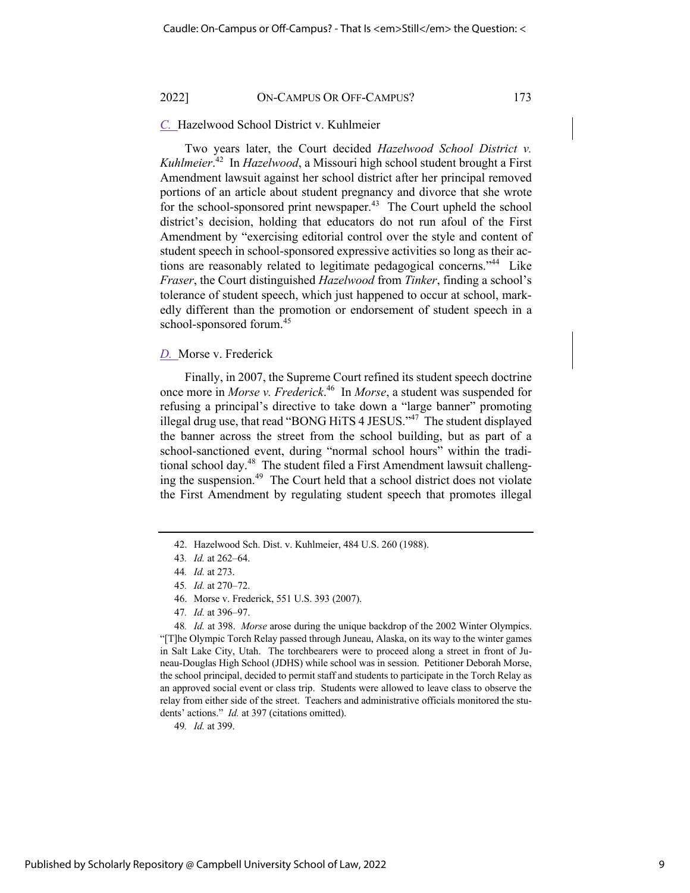## *C.* Hazelwood School District v. Kuhlmeier

Two years later, the Court decided *Hazelwood School District v. Kuhlmeier*. 42 In *Hazelwood*, a Missouri high school student brought a First Amendment lawsuit against her school district after her principal removed portions of an article about student pregnancy and divorce that she wrote for the school-sponsored print newspaper.<sup>43</sup> The Court upheld the school district's decision, holding that educators do not run afoul of the First Amendment by "exercising editorial control over the style and content of student speech in school-sponsored expressive activities so long as their actions are reasonably related to legitimate pedagogical concerns."<sup>44</sup> Like *Fraser*, the Court distinguished *Hazelwood* from *Tinker*, finding a school's tolerance of student speech, which just happened to occur at school, markedly different than the promotion or endorsement of student speech in a school-sponsored forum.<sup>45</sup>

#### *D.* Morse v. Frederick

Finally, in 2007, the Supreme Court refined its student speech doctrine once more in *Morse v. Frederick*. 46 In *Morse*, a student was suspended for refusing a principal's directive to take down a "large banner" promoting illegal drug use, that read "BONG HiTS 4 JESUS."<sup>47</sup> The student displayed the banner across the street from the school building, but as part of a school-sanctioned event, during "normal school hours" within the traditional school day.<sup>48</sup> The student filed a First Amendment lawsuit challenging the suspension.<sup>49</sup> The Court held that a school district does not violate the First Amendment by regulating student speech that promotes illegal

49*. Id.* at 399.

<sup>42.</sup> Hazelwood Sch. Dist. v. Kuhlmeier, 484 U.S. 260 (1988).

<sup>43</sup>*. Id.* at 262–64.

<sup>44</sup>*. Id.* at 273.

<sup>45</sup>*. Id.* at 270–72.

<sup>46.</sup> Morse v. Frederick, 551 U.S. 393 (2007).

<sup>47</sup>*. Id.* at 396–97.

<sup>48</sup>*. Id.* at 398. *Morse* arose during the unique backdrop of the 2002 Winter Olympics. "[T]he Olympic Torch Relay passed through Juneau, Alaska, on its way to the winter games in Salt Lake City, Utah. The torchbearers were to proceed along a street in front of Juneau-Douglas High School (JDHS) while school was in session. Petitioner Deborah Morse, the school principal, decided to permit staff and students to participate in the Torch Relay as an approved social event or class trip. Students were allowed to leave class to observe the relay from either side of the street. Teachers and administrative officials monitored the students' actions." *Id.* at 397 (citations omitted).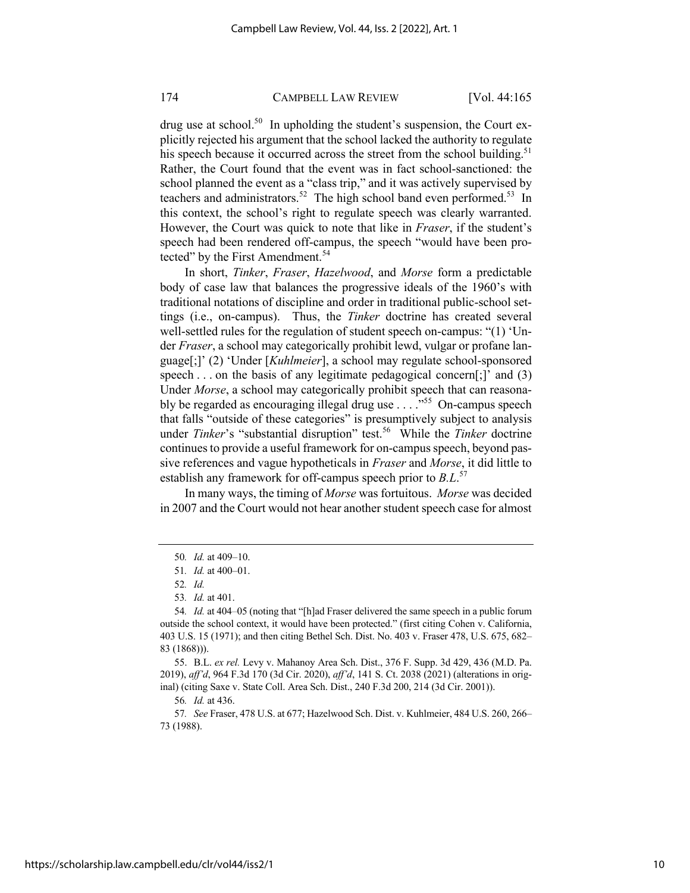drug use at school.<sup>50</sup> In upholding the student's suspension, the Court explicitly rejected his argument that the school lacked the authority to regulate his speech because it occurred across the street from the school building.<sup>51</sup> Rather, the Court found that the event was in fact school-sanctioned: the school planned the event as a "class trip," and it was actively supervised by teachers and administrators.<sup>52</sup> The high school band even performed.<sup>53</sup> In this context, the school's right to regulate speech was clearly warranted. However, the Court was quick to note that like in *Fraser*, if the student's speech had been rendered off-campus, the speech "would have been protected" by the First Amendment.<sup>54</sup>

In short, *Tinker*, *Fraser*, *Hazelwood*, and *Morse* form a predictable body of case law that balances the progressive ideals of the 1960's with traditional notations of discipline and order in traditional public-school settings (i.e., on-campus). Thus, the *Tinker* doctrine has created several well-settled rules for the regulation of student speech on-campus: "(1) 'Under *Fraser*, a school may categorically prohibit lewd, vulgar or profane language[;]' (2) 'Under [*Kuhlmeier*], a school may regulate school-sponsored speech . . . on the basis of any legitimate pedagogical concern[;]' and (3) Under *Morse*, a school may categorically prohibit speech that can reasonably be regarded as encouraging illegal drug use  $\ldots$ <sup>555</sup> On-campus speech that falls "outside of these categories" is presumptively subject to analysis under *Tinker's* "substantial disruption" test.<sup>56</sup> While the *Tinker* doctrine continues to provide a useful framework for on-campus speech, beyond passive references and vague hypotheticals in *Fraser* and *Morse*, it did little to establish any framework for off-campus speech prior to *B.L*. 57

In many ways, the timing of *Morse* was fortuitous. *Morse* was decided in 2007 and the Court would not hear another student speech case for almost

<sup>50</sup>*. Id.* at 409–10.

<sup>51</sup>*. Id.* at 400–01.

<sup>52</sup>*. Id.*

<sup>53</sup>*. Id.* at 401.

<sup>54</sup>*. Id.* at 404–05 (noting that "[h]ad Fraser delivered the same speech in a public forum outside the school context, it would have been protected." (first citing Cohen v. California, 403 U.S. 15 (1971); and then citing Bethel Sch. Dist. No. 403 v. Fraser 478, U.S. 675, 682– 83 (1868))).

<sup>55.</sup> B.L. *ex rel.* Levy v. Mahanoy Area Sch. Dist., 376 F. Supp. 3d 429, 436 (M.D. Pa. 2019), *aff'd*, 964 F.3d 170 (3d Cir. 2020), *aff'd*, 141 S. Ct. 2038 (2021) (alterations in original) (citing Saxe v. State Coll. Area Sch. Dist., 240 F.3d 200, 214 (3d Cir. 2001)).

<sup>56</sup>*. Id.* at 436.

<sup>57</sup>*. See* Fraser, 478 U.S. at 677; Hazelwood Sch. Dist. v. Kuhlmeier, 484 U.S. 260, 266– 73 (1988).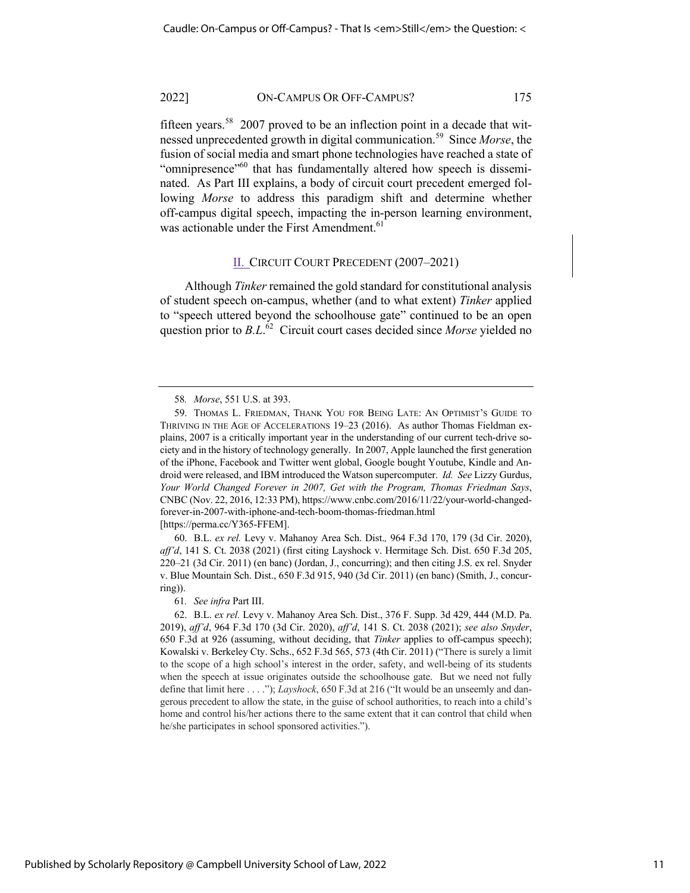fifteen years.<sup>58</sup> 2007 proved to be an inflection point in a decade that witnessed unprecedented growth in digital communication.59 Since *Morse*, the fusion of social media and smart phone technologies have reached a state of "omnipresence"<sup>60</sup> that has fundamentally altered how speech is disseminated. As Part III explains, a body of circuit court precedent emerged following *Morse* to address this paradigm shift and determine whether off-campus digital speech, impacting the in-person learning environment, was actionable under the First Amendment.<sup>61</sup>

#### II. CIRCUIT COURT PRECEDENT (2007–2021)

Although *Tinker* remained the gold standard for constitutional analysis of student speech on-campus, whether (and to what extent) *Tinker* applied to "speech uttered beyond the schoolhouse gate" continued to be an open question prior to *B.L*. 62 Circuit court cases decided since *Morse* yielded no

60. B.L. *ex rel.* Levy v. Mahanoy Area Sch. Dist.*,* 964 F.3d 170, 179 (3d Cir. 2020), *aff'd*, 141 S. Ct. 2038 (2021) (first citing Layshock v. Hermitage Sch. Dist. 650 F.3d 205, 220–21 (3d Cir. 2011) (en banc) (Jordan, J., concurring); and then citing J.S. ex rel. Snyder v. Blue Mountain Sch. Dist., 650 F.3d 915, 940 (3d Cir. 2011) (en banc) (Smith, J., concurring)).

61*. See infra* Part III.

<sup>58</sup>*. Morse*, 551 U.S. at 393.

<sup>59.</sup> THOMAS L. FRIEDMAN, THANK YOU FOR BEING LATE: AN OPTIMIST'S GUIDE TO THRIVING IN THE AGE OF ACCELERATIONS 19–23 (2016). As author Thomas Fieldman explains, 2007 is a critically important year in the understanding of our current tech-drive society and in the history of technology generally. In 2007, Apple launched the first generation of the iPhone, Facebook and Twitter went global, Google bought Youtube, Kindle and Android were released, and IBM introduced the Watson supercomputer. *Id. See* Lizzy Gurdus, *Your World Changed Forever in 2007, Get with the Program, Thomas Friedman Says*, CNBC (Nov. 22, 2016, 12:33 PM), https://www.cnbc.com/2016/11/22/your-world-changedforever-in-2007-with-iphone-and-tech-boom-thomas-friedman.html [https://perma.cc/Y365-FFEM].

<sup>62.</sup> B.L. *ex rel.* Levy v. Mahanoy Area Sch. Dist., 376 F. Supp. 3d 429, 444 (M.D. Pa. 2019), *aff'd*, 964 F.3d 170 (3d Cir. 2020), *aff'd*, 141 S. Ct. 2038 (2021); *see also Snyder*, 650 F.3d at 926 (assuming, without deciding, that *Tinker* applies to off-campus speech); Kowalski v. Berkeley Cty. Schs., 652 F.3d 565, 573 (4th Cir. 2011) ("There is surely a limit to the scope of a high school's interest in the order, safety, and well-being of its students when the speech at issue originates outside the schoolhouse gate. But we need not fully define that limit here . . . ."); *Layshock*, 650 F.3d at 216 ("It would be an unseemly and dangerous precedent to allow the state, in the guise of school authorities, to reach into a child's home and control his/her actions there to the same extent that it can control that child when he/she participates in school sponsored activities.").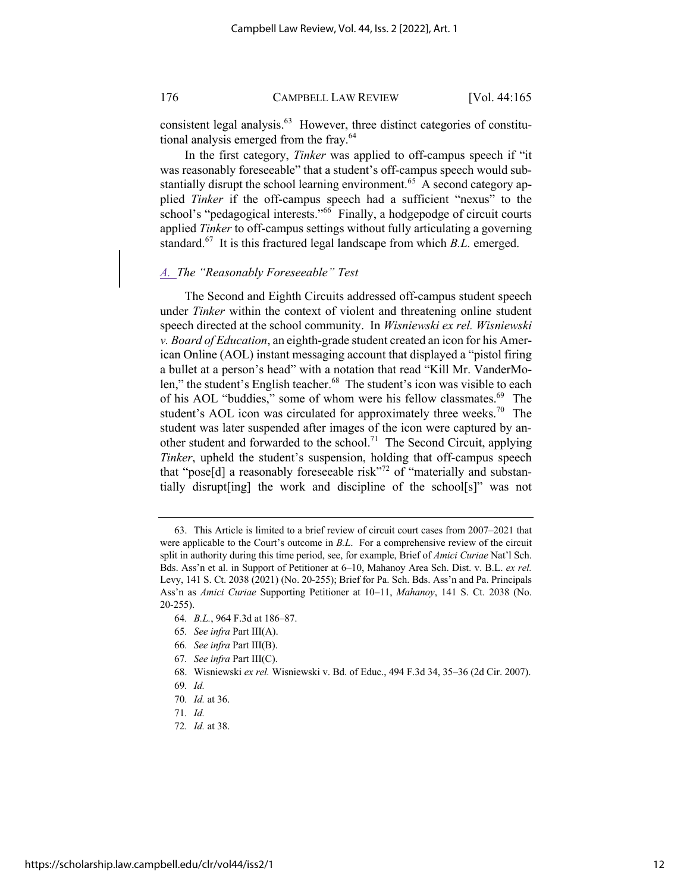consistent legal analysis.<sup>63</sup> However, three distinct categories of constitutional analysis emerged from the fray.<sup>64</sup>

In the first category, *Tinker* was applied to off-campus speech if "it was reasonably foreseeable" that a student's off-campus speech would substantially disrupt the school learning environment.<sup>65</sup> A second category applied *Tinker* if the off-campus speech had a sufficient "nexus" to the school's "pedagogical interests."<sup>66</sup> Finally, a hodgepodge of circuit courts applied *Tinker* to off-campus settings without fully articulating a governing standard.<sup>67</sup> It is this fractured legal landscape from which *B.L.* emerged.

## *A. The "Reasonably Foreseeable" Test*

The Second and Eighth Circuits addressed off-campus student speech under *Tinker* within the context of violent and threatening online student speech directed at the school community. In *Wisniewski ex rel. Wisniewski v. Board of Education*, an eighth-grade student created an icon for his American Online (AOL) instant messaging account that displayed a "pistol firing a bullet at a person's head" with a notation that read "Kill Mr. VanderMolen," the student's English teacher.<sup>68</sup> The student's icon was visible to each of his AOL "buddies," some of whom were his fellow classmates.<sup>69</sup> The student's AOL icon was circulated for approximately three weeks.<sup>70</sup> The student was later suspended after images of the icon were captured by another student and forwarded to the school.<sup>71</sup> The Second Circuit, applying *Tinker*, upheld the student's suspension, holding that off-campus speech that "pose[d] a reasonably foreseeable risk"<sup>72</sup> of "materially and substantially disrupt[ing] the work and discipline of the school[s]" was not

- 65*. See infra* Part III(A).
- 66*. See infra* Part III(B).
- 67*. See infra* Part III(C).
- 68. Wisniewski *ex rel.* Wisniewski v. Bd. of Educ., 494 F.3d 34, 35–36 (2d Cir. 2007).

72*. Id.* at 38.

<sup>63.</sup> This Article is limited to a brief review of circuit court cases from 2007–2021 that were applicable to the Court's outcome in *B.L*. For a comprehensive review of the circuit split in authority during this time period, see, for example, Brief of *Amici Curiae* Nat'l Sch. Bds. Ass'n et al. in Support of Petitioner at 6–10, Mahanoy Area Sch. Dist. v. B.L. *ex rel.* Levy, 141 S. Ct. 2038 (2021) (No. 20-255); Brief for Pa. Sch. Bds. Ass'n and Pa. Principals Ass'n as *Amici Curiae* Supporting Petitioner at 10–11, *Mahanoy*, 141 S. Ct. 2038 (No. 20-255).

<sup>64</sup>*. B.L.*, 964 F.3d at 186–87.

<sup>69</sup>*. Id.*

<sup>70</sup>*. Id.* at 36.

<sup>71</sup>*. Id.*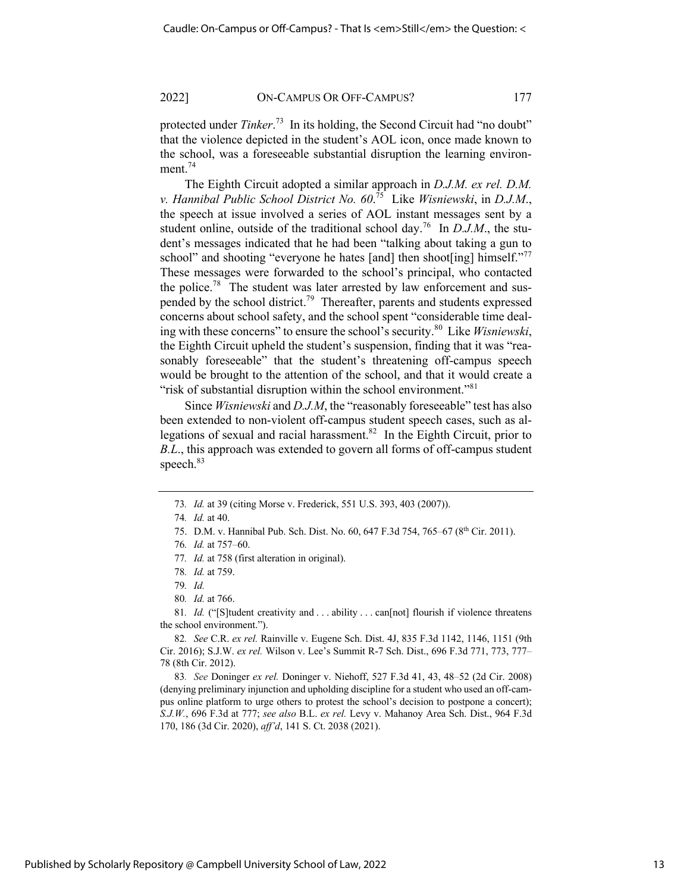protected under *Tinker*. 73 In its holding, the Second Circuit had "no doubt" that the violence depicted in the student's AOL icon, once made known to the school, was a foreseeable substantial disruption the learning environment.<sup>74</sup>

The Eighth Circuit adopted a similar approach in *D.J.M. ex rel. D.M. v. Hannibal Public School District No. 60*. 75 Like *Wisniewski*, in *D.J.M*., the speech at issue involved a series of AOL instant messages sent by a student online, outside of the traditional school day.<sup>76</sup> In  $D.J.M.$ , the student's messages indicated that he had been "talking about taking a gun to school" and shooting "everyone he hates [and] then shoot[ing] himself." These messages were forwarded to the school's principal, who contacted the police.<sup>78</sup> The student was later arrested by law enforcement and suspended by the school district.<sup>79</sup> Thereafter, parents and students expressed concerns about school safety, and the school spent "considerable time dealing with these concerns" to ensure the school's security.80 Like *Wisniewski*, the Eighth Circuit upheld the student's suspension, finding that it was "reasonably foreseeable" that the student's threatening off-campus speech would be brought to the attention of the school, and that it would create a "risk of substantial disruption within the school environment."<sup>81</sup>

Since *Wisniewski* and *D.J.M*, the "reasonably foreseeable" test has also been extended to non-violent off-campus student speech cases, such as allegations of sexual and racial harassment.<sup>82</sup> In the Eighth Circuit, prior to *B.L*., this approach was extended to govern all forms of off-campus student speech.<sup>83</sup>

81. *Id.* ("[S]tudent creativity and . . . ability . . . can[not] flourish if violence threatens the school environment.").

83*. See* Doninger *ex rel.* Doninger v. Niehoff, 527 F.3d 41, 43, 48–52 (2d Cir. 2008) (denying preliminary injunction and upholding discipline for a student who used an off-campus online platform to urge others to protest the school's decision to postpone a concert); *S.J.W.*, 696 F.3d at 777; *see also* B.L. *ex rel.* Levy v. Mahanoy Area Sch. Dist., 964 F.3d 170, 186 (3d Cir. 2020), *aff'd*, 141 S. Ct. 2038 (2021).

<sup>73</sup>*. Id.* at 39 (citing Morse v. Frederick, 551 U.S. 393, 403 (2007)).

<sup>74</sup>*. Id.* at 40.

<sup>75.</sup> D.M. v. Hannibal Pub. Sch. Dist. No. 60, 647 F.3d 754, 765–67 (8th Cir. 2011).

<sup>76</sup>*. Id.* at 757–60.

<sup>77</sup>*. Id.* at 758 (first alteration in original).

<sup>78</sup>*. Id.* at 759.

<sup>79</sup>*. Id.*

<sup>80</sup>*. Id.* at 766.

<sup>82</sup>*. See* C.R. *ex rel.* Rainville v. Eugene Sch. Dist. 4J, 835 F.3d 1142, 1146, 1151 (9th Cir. 2016); S.J.W. *ex rel.* Wilson v. Lee's Summit R-7 Sch. Dist., 696 F.3d 771, 773, 777– 78 (8th Cir. 2012).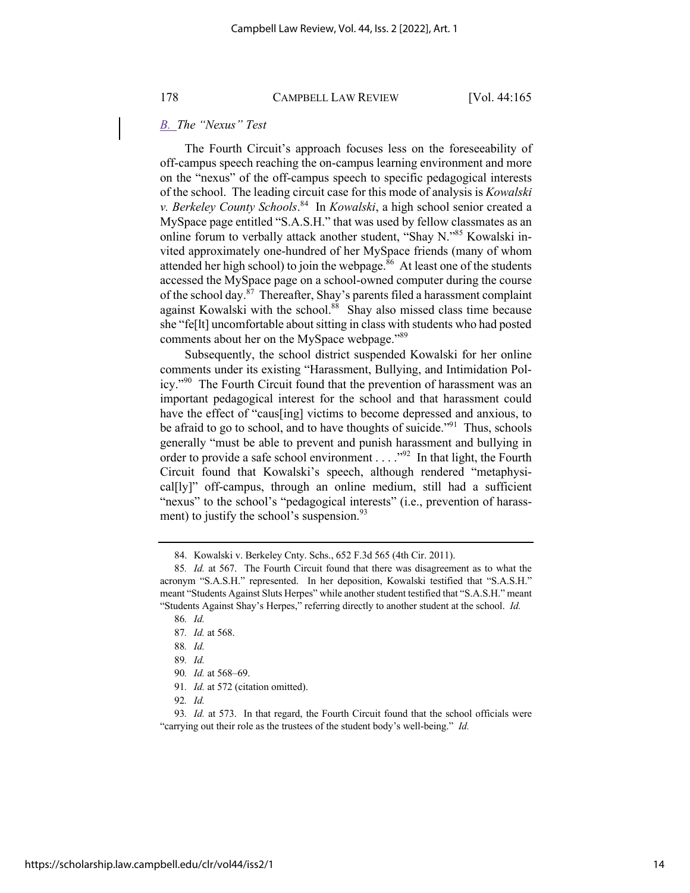## *B. The "Nexus" Test*

The Fourth Circuit's approach focuses less on the foreseeability of off-campus speech reaching the on-campus learning environment and more on the "nexus" of the off-campus speech to specific pedagogical interests of the school. The leading circuit case for this mode of analysis is *Kowalski v. Berkeley County Schools*. 84 In *Kowalski*, a high school senior created a MySpace page entitled "S.A.S.H." that was used by fellow classmates as an online forum to verbally attack another student, "Shay N."85 Kowalski invited approximately one-hundred of her MySpace friends (many of whom attended her high school) to join the webpage. $86$  At least one of the students accessed the MySpace page on a school-owned computer during the course of the school day. ${}^{87}$  Thereafter, Shay's parents filed a harassment complaint against Kowalski with the school.<sup>88</sup> Shay also missed class time because she "fe[lt] uncomfortable about sitting in class with students who had posted comments about her on the MySpace webpage."<sup>89</sup>

Subsequently, the school district suspended Kowalski for her online comments under its existing "Harassment, Bullying, and Intimidation Policy."<sup>90</sup> The Fourth Circuit found that the prevention of harassment was an important pedagogical interest for the school and that harassment could have the effect of "caus[ing] victims to become depressed and anxious, to be afraid to go to school, and to have thoughts of suicide."<sup>91</sup> Thus, schools generally "must be able to prevent and punish harassment and bullying in order to provide a safe school environment  $\dots$  ."<sup>92</sup> In that light, the Fourth Circuit found that Kowalski's speech, although rendered "metaphysical[ly]" off-campus, through an online medium, still had a sufficient "nexus" to the school's "pedagogical interests" (i.e., prevention of harassment) to justify the school's suspension. $93$ 

<sup>84.</sup> Kowalski v. Berkeley Cnty. Schs., 652 F.3d 565 (4th Cir. 2011).

<sup>85</sup>*. Id.* at 567. The Fourth Circuit found that there was disagreement as to what the acronym "S.A.S.H." represented. In her deposition, Kowalski testified that "S.A.S.H." meant "Students Against Sluts Herpes" while another student testified that "S.A.S.H." meant "Students Against Shay's Herpes," referring directly to another student at the school. *Id.* 

<sup>86</sup>*. Id.*

<sup>87</sup>*. Id.* at 568.

<sup>88</sup>*. Id.*

<sup>89</sup>*. Id.*

<sup>90</sup>*. Id.* at 568–69.

<sup>91</sup>*. Id.* at 572 (citation omitted).

<sup>92</sup>*. Id.*

<sup>93</sup>*. Id.* at 573. In that regard, the Fourth Circuit found that the school officials were "carrying out their role as the trustees of the student body's well-being." *Id.*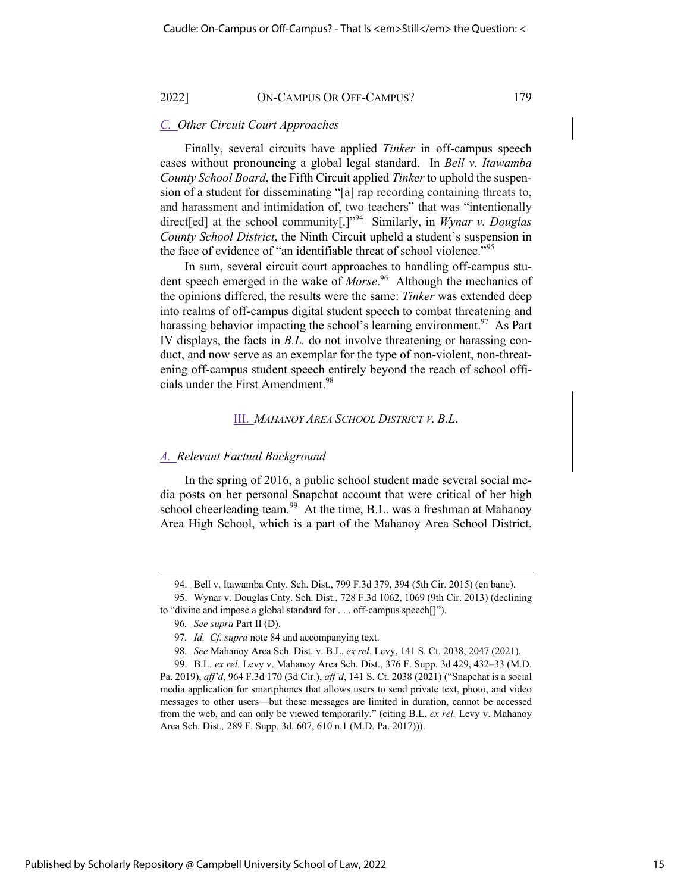## *C. Other Circuit Court Approaches*

Finally, several circuits have applied *Tinker* in off-campus speech cases without pronouncing a global legal standard. In *Bell v. Itawamba County School Board*, the Fifth Circuit applied *Tinker* to uphold the suspension of a student for disseminating "[a] rap recording containing threats to, and harassment and intimidation of, two teachers" that was "intentionally direct[ed] at the school community[.]"94 Similarly, in *Wynar v. Douglas County School District*, the Ninth Circuit upheld a student's suspension in the face of evidence of "an identifiable threat of school violence."<sup>95</sup>

In sum, several circuit court approaches to handling off-campus student speech emerged in the wake of *Morse*. 96 Although the mechanics of the opinions differed, the results were the same: *Tinker* was extended deep into realms of off-campus digital student speech to combat threatening and harassing behavior impacting the school's learning environment.<sup>97</sup> As Part IV displays, the facts in *B.L.* do not involve threatening or harassing conduct, and now serve as an exemplar for the type of non-violent, non-threatening off-campus student speech entirely beyond the reach of school officials under the First Amendment.<sup>98</sup>

#### III. *MAHANOY AREA SCHOOL DISTRICT V. B.L*.

#### *A. Relevant Factual Background*

In the spring of 2016, a public school student made several social media posts on her personal Snapchat account that were critical of her high school cheerleading team.<sup>99</sup> At the time, B.L. was a freshman at Mahanoy Area High School, which is a part of the Mahanoy Area School District,

<sup>94.</sup> Bell v. Itawamba Cnty. Sch. Dist., 799 F.3d 379, 394 (5th Cir. 2015) (en banc).

<sup>95.</sup> Wynar v. Douglas Cnty. Sch. Dist., 728 F.3d 1062, 1069 (9th Cir. 2013) (declining to "divine and impose a global standard for . . . off-campus speech[]").

<sup>96</sup>*. See supra* Part II (D).

<sup>97</sup>*. Id. Cf. supra* note 84 and accompanying text.

<sup>98</sup>*. See* Mahanoy Area Sch. Dist. v. B.L. *ex rel.* Levy, 141 S. Ct. 2038, 2047 (2021).

<sup>99.</sup> B.L. *ex rel.* Levy v. Mahanoy Area Sch. Dist., 376 F. Supp. 3d 429, 432–33 (M.D. Pa. 2019), *aff'd*, 964 F.3d 170 (3d Cir.), *aff'd*, 141 S. Ct. 2038 (2021) ("Snapchat is a social media application for smartphones that allows users to send private text, photo, and video messages to other users—but these messages are limited in duration, cannot be accessed from the web, and can only be viewed temporarily." (citing B.L. *ex rel.* Levy v. Mahanoy Area Sch. Dist.*,* 289 F. Supp. 3d. 607, 610 n.1 (M.D. Pa. 2017))).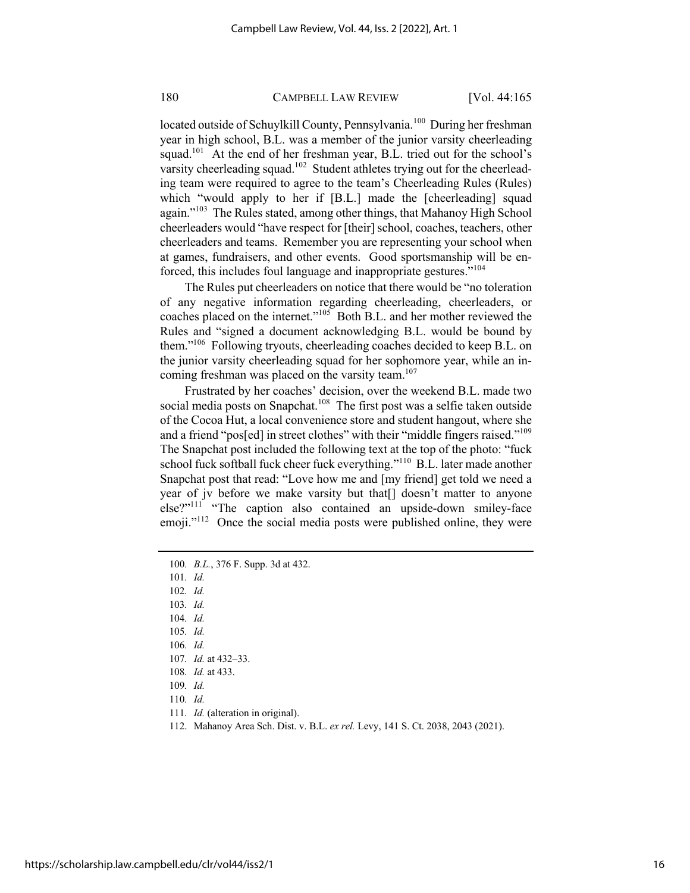located outside of Schuylkill County, Pennsylvania.<sup>100</sup> During her freshman year in high school, B.L. was a member of the junior varsity cheerleading squad.<sup>101</sup> At the end of her freshman year, B.L. tried out for the school's varsity cheerleading squad.<sup>102</sup> Student athletes trying out for the cheerleading team were required to agree to the team's Cheerleading Rules (Rules) which "would apply to her if [B.L.] made the [cheerleading] squad again."<sup>103</sup> The Rules stated, among other things, that Mahanoy High School cheerleaders would "have respect for [their] school, coaches, teachers, other cheerleaders and teams. Remember you are representing your school when at games, fundraisers, and other events. Good sportsmanship will be enforced, this includes foul language and inappropriate gestures."<sup>104</sup>

The Rules put cheerleaders on notice that there would be "no toleration of any negative information regarding cheerleading, cheerleaders, or coaches placed on the internet."<sup>105</sup> Both B.L. and her mother reviewed the Rules and "signed a document acknowledging B.L. would be bound by them."106 Following tryouts, cheerleading coaches decided to keep B.L. on the junior varsity cheerleading squad for her sophomore year, while an incoming freshman was placed on the varsity team.<sup>107</sup>

Frustrated by her coaches' decision, over the weekend B.L. made two social media posts on Snapchat.<sup>108</sup> The first post was a selfie taken outside of the Cocoa Hut, a local convenience store and student hangout, where she and a friend "pos[ed] in street clothes" with their "middle fingers raised."<sup>109</sup> The Snapchat post included the following text at the top of the photo: "fuck school fuck softball fuck cheer fuck everything."<sup>110</sup> B.L. later made another Snapchat post that read: "Love how me and [my friend] get told we need a year of jv before we make varsity but that[] doesn't matter to anyone else?"111 "The caption also contained an upside-down smiley-face emoji. $v<sup>112</sup>$  Once the social media posts were published online, they were

- 105*. Id.*
- 106*. Id.*
- 107*. Id.* at 432–33.
- 108*. Id.* at 433.
- 109*. Id.*
- 110*. Id.*
- 111*. Id.* (alteration in original).
- 112. Mahanoy Area Sch. Dist. v. B.L. *ex rel.* Levy, 141 S. Ct. 2038, 2043 (2021).

<sup>100</sup>*. B.L.*, 376 F. Supp. 3d at 432.

<sup>101</sup>*. Id.* 

<sup>102</sup>*. Id.*

<sup>103</sup>*. Id.*

<sup>104</sup>*. Id.*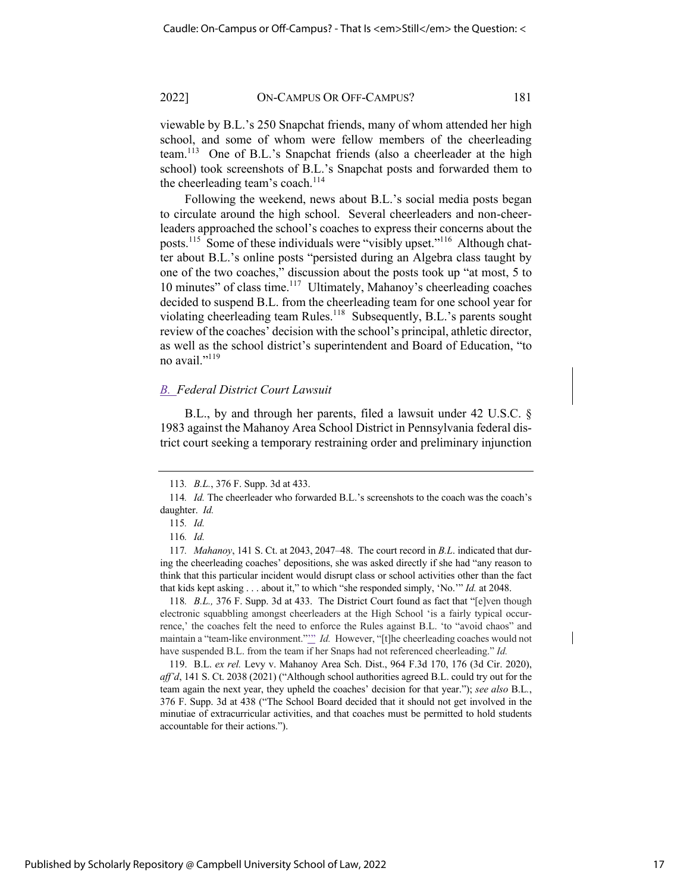viewable by B.L.'s 250 Snapchat friends, many of whom attended her high school, and some of whom were fellow members of the cheerleading team.113 One of B.L.'s Snapchat friends (also a cheerleader at the high school) took screenshots of B.L.'s Snapchat posts and forwarded them to the cheerleading team's coach.<sup>114</sup>

Following the weekend, news about B.L.'s social media posts began to circulate around the high school. Several cheerleaders and non-cheerleaders approached the school's coaches to express their concerns about the posts.115 Some of these individuals were "visibly upset."116 Although chatter about B.L.'s online posts "persisted during an Algebra class taught by one of the two coaches," discussion about the posts took up "at most, 5 to 10 minutes" of class time.<sup>117</sup> Ultimately, Mahanoy's cheerleading coaches decided to suspend B.L. from the cheerleading team for one school year for violating cheerleading team Rules.<sup>118</sup> Subsequently, B.L.'s parents sought review of the coaches' decision with the school's principal, athletic director, as well as the school district's superintendent and Board of Education, "to no avail."<sup>119</sup>

## *B. Federal District Court Lawsuit*

B.L., by and through her parents, filed a lawsuit under 42 U.S.C. § 1983 against the Mahanoy Area School District in Pennsylvania federal district court seeking a temporary restraining order and preliminary injunction

118*. B.L.,* 376 F. Supp. 3d at 433. The District Court found as fact that "[e]ven though electronic squabbling amongst cheerleaders at the High School 'is a fairly typical occurrence,' the coaches felt the need to enforce the Rules against B.L. 'to "avoid chaos" and maintain a "team-like environment."" *Id.* However, "[t]he cheerleading coaches would not have suspended B.L. from the team if her Snaps had not referenced cheerleading." *Id.*

119. B.L. *ex rel.* Levy v. Mahanoy Area Sch. Dist., 964 F.3d 170, 176 (3d Cir. 2020), *aff'd*, 141 S. Ct. 2038 (2021) ("Although school authorities agreed B.L. could try out for the team again the next year, they upheld the coaches' decision for that year."); *see also* B.L*.*, 376 F. Supp. 3d at 438 ("The School Board decided that it should not get involved in the minutiae of extracurricular activities, and that coaches must be permitted to hold students accountable for their actions.").

Published by Scholarly Repository @ Campbell University School of Law, 2022

<sup>113</sup>*. B.L.*, 376 F. Supp. 3d at 433.

<sup>114</sup>*. Id.* The cheerleader who forwarded B.L.'s screenshots to the coach was the coach's daughter. *Id.* 

<sup>115</sup>*. Id.* 

<sup>116</sup>*. Id.*

<sup>117</sup>*. Mahanoy*, 141 S. Ct. at 2043, 2047–48. The court record in *B.L*. indicated that during the cheerleading coaches' depositions, she was asked directly if she had "any reason to think that this particular incident would disrupt class or school activities other than the fact that kids kept asking . . . about it," to which "she responded simply, 'No.'" *Id.* at 2048.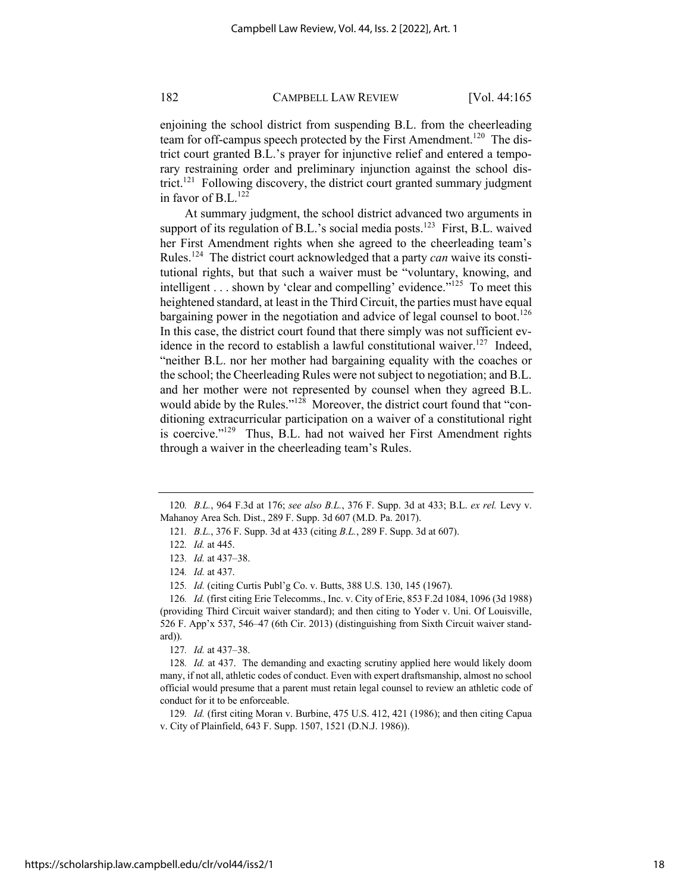enjoining the school district from suspending B.L. from the cheerleading team for off-campus speech protected by the First Amendment.<sup>120</sup> The district court granted B.L.'s prayer for injunctive relief and entered a temporary restraining order and preliminary injunction against the school district.<sup>121</sup> Following discovery, the district court granted summary judgment in favor of B.L.<sup>122</sup>

At summary judgment, the school district advanced two arguments in support of its regulation of B.L.'s social media posts.<sup>123</sup> First, B.L. waived her First Amendment rights when she agreed to the cheerleading team's Rules.124 The district court acknowledged that a party *can* waive its constitutional rights, but that such a waiver must be "voluntary, knowing, and intelligent  $\ldots$  shown by 'clear and compelling' evidence.<sup> $125$ </sup> To meet this heightened standard, at least in the Third Circuit, the parties must have equal bargaining power in the negotiation and advice of legal counsel to boot.<sup>126</sup> In this case, the district court found that there simply was not sufficient evidence in the record to establish a lawful constitutional waiver.<sup>127</sup> Indeed, "neither B.L. nor her mother had bargaining equality with the coaches or the school; the Cheerleading Rules were not subject to negotiation; and B.L. and her mother were not represented by counsel when they agreed B.L. would abide by the Rules." $128$  Moreover, the district court found that "conditioning extracurricular participation on a waiver of a constitutional right is coercive."<sup>129</sup> Thus, B.L. had not waived her First Amendment rights through a waiver in the cheerleading team's Rules.

<sup>120</sup>*. B.L.*, 964 F.3d at 176; *see also B.L.*, 376 F. Supp. 3d at 433; B.L. *ex rel.* Levy v. Mahanoy Area Sch. Dist., 289 F. Supp. 3d 607 (M.D. Pa. 2017).

<sup>121</sup>*. B.L.*, 376 F. Supp. 3d at 433 (citing *B.L.*, 289 F. Supp. 3d at 607).

<sup>122</sup>*. Id.* at 445.

<sup>123</sup>*. Id.* at 437–38.

<sup>124</sup>*. Id.* at 437.

<sup>125</sup>*. Id.* (citing Curtis Publ'g Co. v. Butts, 388 U.S. 130, 145 (1967).

<sup>126</sup>*. Id.* (first citing Erie Telecomms., Inc. v. City of Erie, 853 F.2d 1084, 1096 (3d 1988) (providing Third Circuit waiver standard); and then citing to Yoder v. Uni. Of Louisville, 526 F. App'x 537, 546–47 (6th Cir. 2013) (distinguishing from Sixth Circuit waiver standard)).

<sup>127</sup>*. Id.* at 437–38.

<sup>128</sup>*. Id.* at 437. The demanding and exacting scrutiny applied here would likely doom many, if not all, athletic codes of conduct. Even with expert draftsmanship, almost no school official would presume that a parent must retain legal counsel to review an athletic code of conduct for it to be enforceable.

<sup>129</sup>*. Id.* (first citing Moran v. Burbine, 475 U.S. 412, 421 (1986); and then citing Capua v. City of Plainfield, 643 F. Supp. 1507, 1521 (D.N.J. 1986)).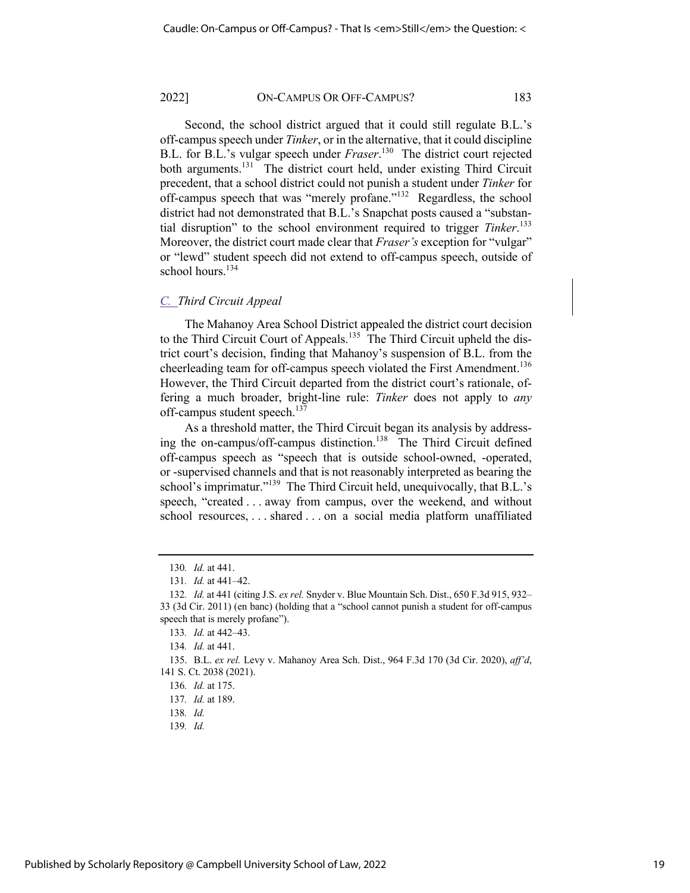Second, the school district argued that it could still regulate B.L.'s off-campus speech under *Tinker*, or in the alternative, that it could discipline B.L. for B.L.'s vulgar speech under *Fraser*. 130 The district court rejected both arguments.<sup>131</sup> The district court held, under existing Third Circuit precedent, that a school district could not punish a student under *Tinker* for off-campus speech that was "merely profane."<sup>132</sup> Regardless, the school district had not demonstrated that B.L.'s Snapchat posts caused a "substantial disruption" to the school environment required to trigger *Tinker*. 133 Moreover, the district court made clear that *Fraser's* exception for "vulgar" or "lewd" student speech did not extend to off-campus speech, outside of school hours. $134$ 

#### *C. Third Circuit Appeal*

The Mahanoy Area School District appealed the district court decision to the Third Circuit Court of Appeals.<sup>135</sup> The Third Circuit upheld the district court's decision, finding that Mahanoy's suspension of B.L. from the cheerleading team for off-campus speech violated the First Amendment.<sup>136</sup> However, the Third Circuit departed from the district court's rationale, offering a much broader, bright-line rule: *Tinker* does not apply to *any*  off-campus student speech.<sup>137</sup>

As a threshold matter, the Third Circuit began its analysis by addressing the on-campus/off-campus distinction.<sup>138</sup> The Third Circuit defined off-campus speech as "speech that is outside school-owned, -operated, or -supervised channels and that is not reasonably interpreted as bearing the school's imprimatur."<sup>139</sup> The Third Circuit held, unequivocally, that B.L.'s speech, "created . . . away from campus, over the weekend, and without school resources, . . . shared . . . on a social media platform unaffiliated

139*. Id.*

<sup>130</sup>*. Id.* at 441.

<sup>131</sup>*. Id.* at 441–42.

<sup>132</sup>*. Id.* at 441 (citing J.S. *ex rel.* Snyder v. Blue Mountain Sch. Dist., 650 F.3d 915, 932– 33 (3d Cir. 2011) (en banc) (holding that a "school cannot punish a student for off-campus speech that is merely profane").

<sup>133</sup>*. Id.* at 442–43.

<sup>134</sup>*. Id.* at 441.

<sup>135.</sup> B.L. *ex rel.* Levy v. Mahanoy Area Sch. Dist., 964 F.3d 170 (3d Cir. 2020), *aff'd*, 141 S. Ct. 2038 (2021).

<sup>136</sup>*. Id.* at 175.

<sup>137</sup>*. Id.* at 189.

<sup>138</sup>*. Id.*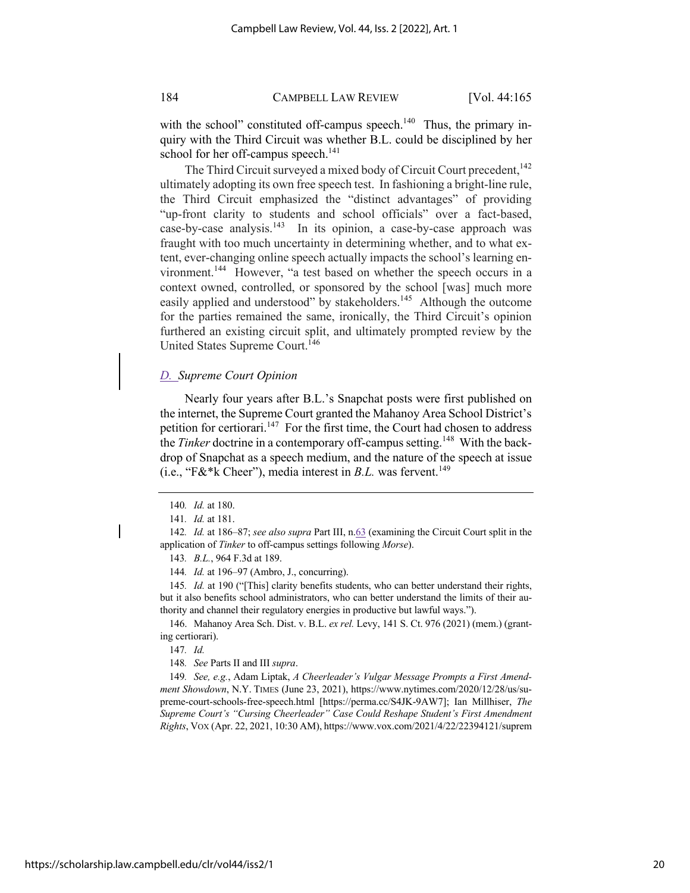with the school" constituted off-campus speech. $140$  Thus, the primary inquiry with the Third Circuit was whether B.L. could be disciplined by her school for her off-campus speech. $^{141}$ 

The Third Circuit surveyed a mixed body of Circuit Court precedent,<sup>142</sup> ultimately adopting its own free speech test. In fashioning a bright-line rule, the Third Circuit emphasized the "distinct advantages" of providing "up-front clarity to students and school officials" over a fact-based, case-by-case analysis.<sup>143</sup> In its opinion, a case-by-case approach was fraught with too much uncertainty in determining whether, and to what extent, ever-changing online speech actually impacts the school's learning environment.<sup>144</sup> However, "a test based on whether the speech occurs in a context owned, controlled, or sponsored by the school [was] much more easily applied and understood" by stakeholders.<sup>145</sup> Although the outcome for the parties remained the same, ironically, the Third Circuit's opinion furthered an existing circuit split, and ultimately prompted review by the United States Supreme Court.<sup>146</sup>

## *D. Supreme Court Opinion*

Nearly four years after B.L.'s Snapchat posts were first published on the internet, the Supreme Court granted the Mahanoy Area School District's petition for certiorari.<sup>147</sup> For the first time, the Court had chosen to address the *Tinker* doctrine in a contemporary off-campus setting.<sup>148</sup> With the backdrop of Snapchat as a speech medium, and the nature of the speech at issue (i.e., "F&\*k Cheer"), media interest in  $B.L.$  was fervent.<sup>149</sup>

143*. B.L.*, 964 F.3d at 189.

144*. Id.* at 196–97 (Ambro, J., concurring).

145*. Id.* at 190 ("[This] clarity benefits students, who can better understand their rights, but it also benefits school administrators, who can better understand the limits of their authority and channel their regulatory energies in productive but lawful ways.").

146. Mahanoy Area Sch. Dist. v. B.L. *ex rel.* Levy, 141 S. Ct. 976 (2021) (mem.) (granting certiorari).

147*. Id.*

148*. See* Parts II and III *supra*.

149*. See, e.g.*, Adam Liptak, *A Cheerleader's Vulgar Message Prompts a First Amendment Showdown*, N.Y. TIMES (June 23, 2021), https://www.nytimes.com/2020/12/28/us/supreme-court-schools-free-speech.html [https://perma.cc/S4JK-9AW7]; Ian Millhiser, *The Supreme Court's "Cursing Cheerleader" Case Could Reshape Student's First Amendment Rights*, VOX (Apr. 22, 2021, 10:30 AM), https://www.vox.com/2021/4/22/22394121/suprem

https://scholarship.law.campbell.edu/clr/vol44/iss2/1

<sup>140</sup>*. Id.* at 180.

<sup>141</sup>*. Id.* at 181.

<sup>142</sup>*. Id.* at 186–87; *see also supra* Part III, n.63 (examining the Circuit Court split in the application of *Tinker* to off-campus settings following *Morse*).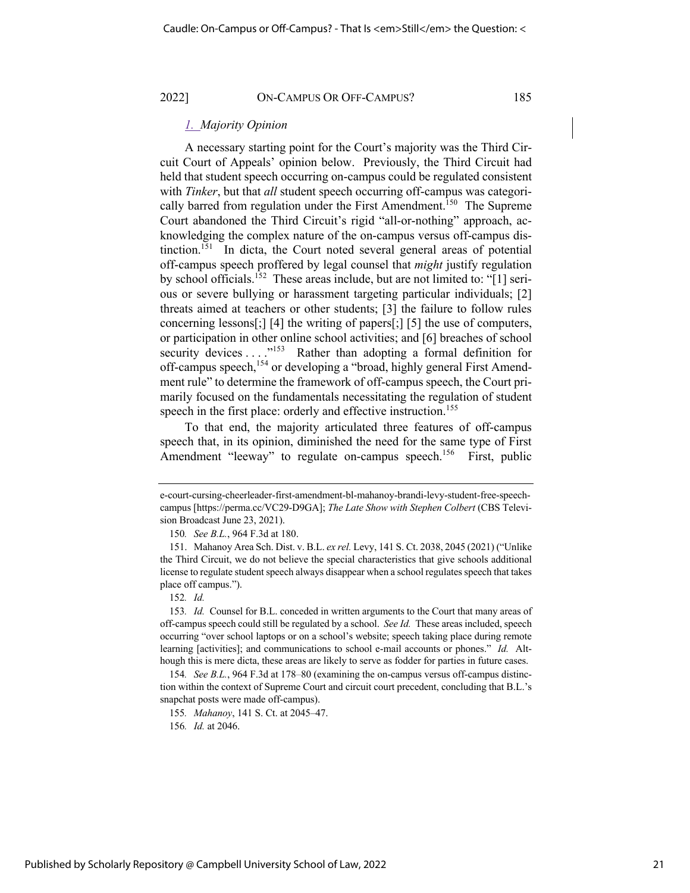#### *1. Majority Opinion*

A necessary starting point for the Court's majority was the Third Circuit Court of Appeals' opinion below. Previously, the Third Circuit had held that student speech occurring on-campus could be regulated consistent with *Tinker*, but that *all* student speech occurring off-campus was categorically barred from regulation under the First Amendment.<sup>150</sup> The Supreme Court abandoned the Third Circuit's rigid "all-or-nothing" approach, acknowledging the complex nature of the on-campus versus off-campus distinction.<sup>151</sup> In dicta, the Court noted several general areas of potential off-campus speech proffered by legal counsel that *might* justify regulation by school officials.152 These areas include, but are not limited to: "[1] serious or severe bullying or harassment targeting particular individuals; [2] threats aimed at teachers or other students; [3] the failure to follow rules concerning lessons[;] [4] the writing of papers[;] [5] the use of computers, or participation in other online school activities; and [6] breaches of school security devices . . . . "<sup>153</sup> Rather than adopting a formal definition for off-campus speech,<sup>154</sup> or developing a "broad, highly general First Amendment rule" to determine the framework of off-campus speech, the Court primarily focused on the fundamentals necessitating the regulation of student speech in the first place: orderly and effective instruction.<sup>155</sup>

To that end, the majority articulated three features of off-campus speech that, in its opinion, diminished the need for the same type of First Amendment "leeway" to regulate on-campus speech.<sup>156</sup> First, public

150*. See B.L.*, 964 F.3d at 180.

152*. Id.*

e-court-cursing-cheerleader-first-amendment-bl-mahanoy-brandi-levy-student-free-speechcampus [https://perma.cc/VC29-D9GA]; *The Late Show with Stephen Colbert* (CBS Television Broadcast June 23, 2021).

<sup>151.</sup> Mahanoy Area Sch. Dist. v. B.L. *ex rel.* Levy, 141 S. Ct. 2038, 2045 (2021) ("Unlike the Third Circuit, we do not believe the special characteristics that give schools additional license to regulate student speech always disappear when a school regulates speech that takes place off campus.").

<sup>153</sup>*. Id.* Counsel for B.L. conceded in written arguments to the Court that many areas of off-campus speech could still be regulated by a school. *See Id.* These areas included, speech occurring "over school laptops or on a school's website; speech taking place during remote learning [activities]; and communications to school e-mail accounts or phones." *Id.* Although this is mere dicta, these areas are likely to serve as fodder for parties in future cases.

<sup>154</sup>*. See B.L.*, 964 F.3d at 178–80 (examining the on-campus versus off-campus distinction within the context of Supreme Court and circuit court precedent, concluding that B.L.'s snapchat posts were made off-campus).

<sup>155</sup>*. Mahanoy*, 141 S. Ct. at 2045–47.

<sup>156</sup>*. Id.* at 2046.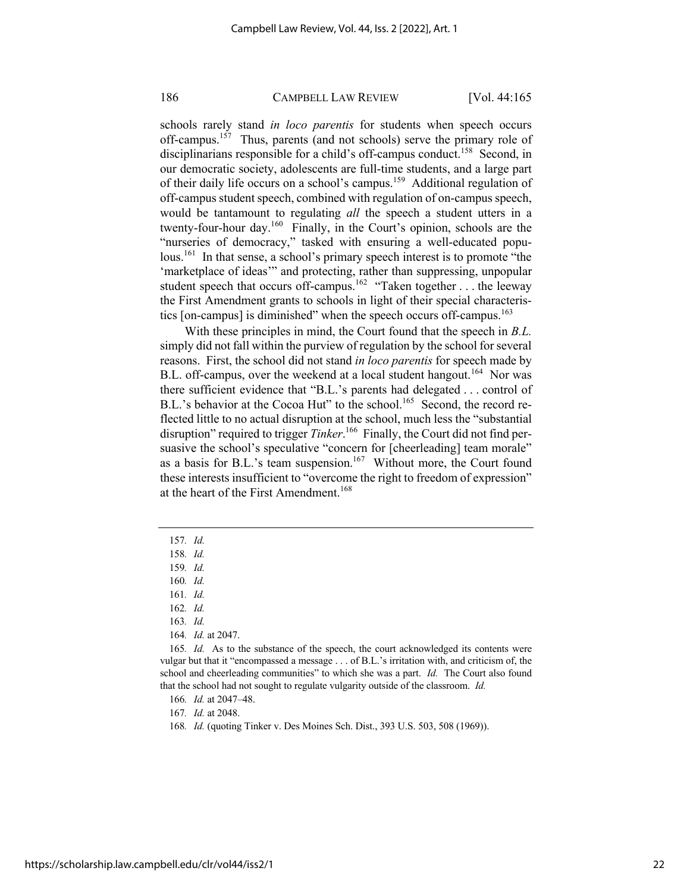schools rarely stand *in loco parentis* for students when speech occurs off-campus.<sup>157</sup> Thus, parents (and not schools) serve the primary role of disciplinarians responsible for a child's off-campus conduct.<sup>158</sup> Second, in our democratic society, adolescents are full-time students, and a large part of their daily life occurs on a school's campus.<sup>159</sup> Additional regulation of off-campus student speech, combined with regulation of on-campus speech, would be tantamount to regulating *all* the speech a student utters in a twenty-four-hour day.160 Finally, in the Court's opinion, schools are the "nurseries of democracy," tasked with ensuring a well-educated populous.<sup>161</sup> In that sense, a school's primary speech interest is to promote "the 'marketplace of ideas'" and protecting, rather than suppressing, unpopular student speech that occurs off-campus.<sup>162</sup> "Taken together . . . the leeway the First Amendment grants to schools in light of their special characteristics [on-campus] is diminished" when the speech occurs off-campus.<sup>163</sup>

With these principles in mind, the Court found that the speech in *B.L.* simply did not fall within the purview of regulation by the school for several reasons. First, the school did not stand *in loco parentis* for speech made by B.L. off-campus, over the weekend at a local student hangout.<sup>164</sup> Nor was there sufficient evidence that "B.L.'s parents had delegated . . . control of B.L.'s behavior at the Cocoa Hut" to the school.<sup>165</sup> Second, the record reflected little to no actual disruption at the school, much less the "substantial disruption" required to trigger *Tinker*. 166 Finally, the Court did not find persuasive the school's speculative "concern for [cheerleading] team morale" as a basis for B.L.'s team suspension.<sup>167</sup> Without more, the Court found these interests insufficient to "overcome the right to freedom of expression" at the heart of the First Amendment.<sup>168</sup>

161*. Id.*

163*. Id.*

<sup>157</sup>*. Id.* 

<sup>158</sup>*. Id.* 

<sup>159</sup>*. Id.*

<sup>160</sup>*. Id.* 

<sup>162</sup>*. Id.*

<sup>164</sup>*. Id.* at 2047.

<sup>165</sup>*. Id.* As to the substance of the speech, the court acknowledged its contents were vulgar but that it "encompassed a message . . . of B.L.'s irritation with, and criticism of, the school and cheerleading communities" to which she was a part. *Id.* The Court also found that the school had not sought to regulate vulgarity outside of the classroom. *Id.*

<sup>166</sup>*. Id.* at 2047–48.

<sup>167</sup>*. Id.* at 2048.

<sup>168</sup>*. Id.* (quoting Tinker v. Des Moines Sch. Dist., 393 U.S. 503, 508 (1969)).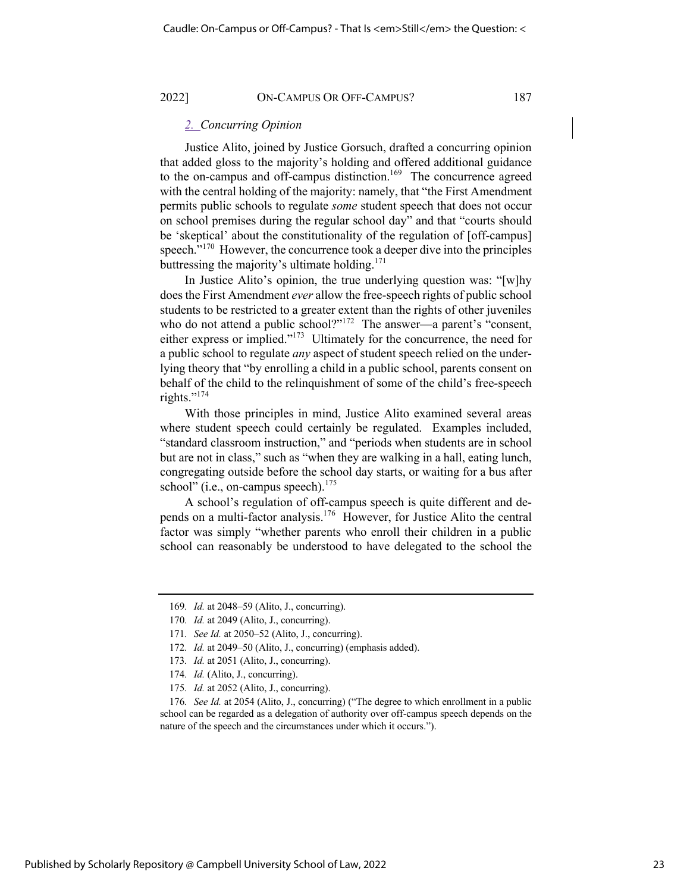## *2. Concurring Opinion*

Justice Alito, joined by Justice Gorsuch, drafted a concurring opinion that added gloss to the majority's holding and offered additional guidance to the on-campus and off-campus distinction.<sup>169</sup> The concurrence agreed with the central holding of the majority: namely, that "the First Amendment permits public schools to regulate *some* student speech that does not occur on school premises during the regular school day" and that "courts should be 'skeptical' about the constitutionality of the regulation of [off-campus] speech."<sup>170</sup> However, the concurrence took a deeper dive into the principles buttressing the majority's ultimate holding. $171$ 

In Justice Alito's opinion, the true underlying question was: "[w]hy does the First Amendment *ever* allow the free-speech rights of public school students to be restricted to a greater extent than the rights of other juveniles who do not attend a public school?"<sup>172</sup> The answer—a parent's "consent, either express or implied."<sup>173</sup> Ultimately for the concurrence, the need for a public school to regulate *any* aspect of student speech relied on the underlying theory that "by enrolling a child in a public school, parents consent on behalf of the child to the relinquishment of some of the child's free-speech rights."<sup>174</sup>

With those principles in mind, Justice Alito examined several areas where student speech could certainly be regulated. Examples included, "standard classroom instruction," and "periods when students are in school but are not in class," such as "when they are walking in a hall, eating lunch, congregating outside before the school day starts, or waiting for a bus after school" (i.e., on-campus speech). $175$ 

A school's regulation of off-campus speech is quite different and depends on a multi-factor analysis.176 However, for Justice Alito the central factor was simply "whether parents who enroll their children in a public school can reasonably be understood to have delegated to the school the

176*. See Id.* at 2054 (Alito, J., concurring) ("The degree to which enrollment in a public school can be regarded as a delegation of authority over off-campus speech depends on the nature of the speech and the circumstances under which it occurs.").

<sup>169</sup>*. Id.* at 2048–59 (Alito, J., concurring).

<sup>170</sup>*. Id.* at 2049 (Alito, J., concurring).

<sup>171</sup>*. See Id.* at 2050–52 (Alito, J., concurring).

<sup>172</sup>*. Id.* at 2049–50 (Alito, J., concurring) (emphasis added).

<sup>173</sup>*. Id.* at 2051 (Alito, J., concurring).

<sup>174</sup>*. Id.* (Alito, J., concurring).

<sup>175</sup>*. Id.* at 2052 (Alito, J., concurring).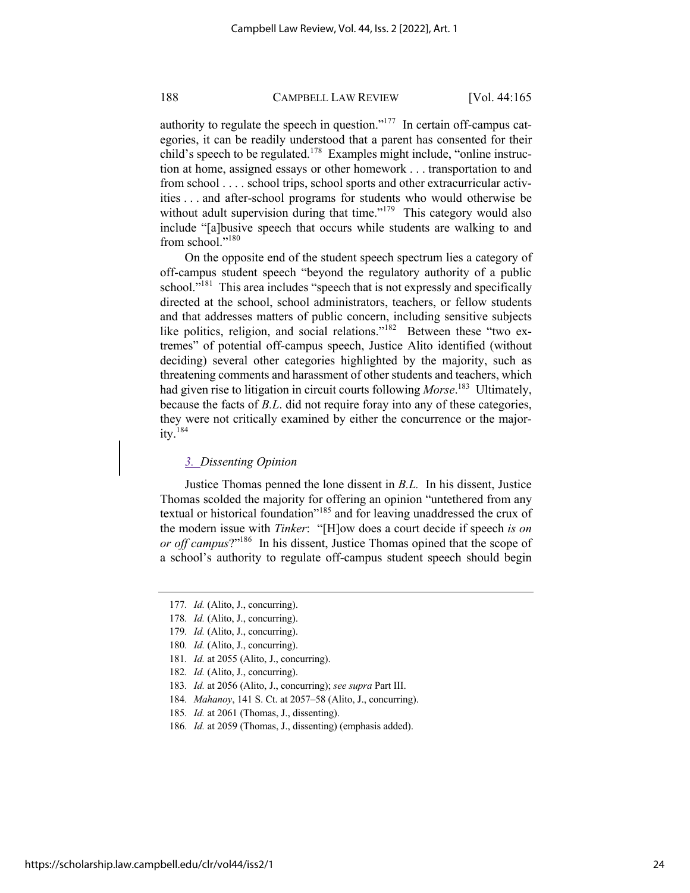authority to regulate the speech in question."<sup>177</sup> In certain off-campus categories, it can be readily understood that a parent has consented for their child's speech to be regulated.<sup>178</sup> Examples might include, "online instruction at home, assigned essays or other homework . . . transportation to and from school . . . . school trips, school sports and other extracurricular activities . . . and after-school programs for students who would otherwise be without adult supervision during that time."<sup>179</sup> This category would also include "[a]busive speech that occurs while students are walking to and from school."<sup>180</sup>

On the opposite end of the student speech spectrum lies a category of off-campus student speech "beyond the regulatory authority of a public school."<sup>181</sup> This area includes "speech that is not expressly and specifically directed at the school, school administrators, teachers, or fellow students and that addresses matters of public concern, including sensitive subjects like politics, religion, and social relations."<sup>182</sup> Between these "two extremes" of potential off-campus speech, Justice Alito identified (without deciding) several other categories highlighted by the majority, such as threatening comments and harassment of other students and teachers, which had given rise to litigation in circuit courts following *Morse*. 183 Ultimately, because the facts of *B.L*. did not require foray into any of these categories, they were not critically examined by either the concurrence or the majority. $184$ 

#### *3. Dissenting Opinion*

Justice Thomas penned the lone dissent in *B.L.* In his dissent, Justice Thomas scolded the majority for offering an opinion "untethered from any textual or historical foundation"<sup>185</sup> and for leaving unaddressed the crux of the modern issue with *Tinker*: "[H]ow does a court decide if speech *is on or off campus*?"186 In his dissent, Justice Thomas opined that the scope of a school's authority to regulate off-campus student speech should begin

- 181*. Id.* at 2055 (Alito, J., concurring).
- 182*. Id.* (Alito, J., concurring).
- 183*. Id.* at 2056 (Alito, J., concurring); *see supra* Part III.
- 184*. Mahanoy*, 141 S. Ct. at 2057–58 (Alito, J., concurring).
- 185*. Id.* at 2061 (Thomas, J., dissenting).
- 186*. Id.* at 2059 (Thomas, J., dissenting) (emphasis added).

https://scholarship.law.campbell.edu/clr/vol44/iss2/1

<sup>177</sup>*. Id.* (Alito, J., concurring).

<sup>178</sup>*. Id.* (Alito, J., concurring).

<sup>179</sup>*. Id.* (Alito, J., concurring).

<sup>180</sup>*. Id.* (Alito, J., concurring).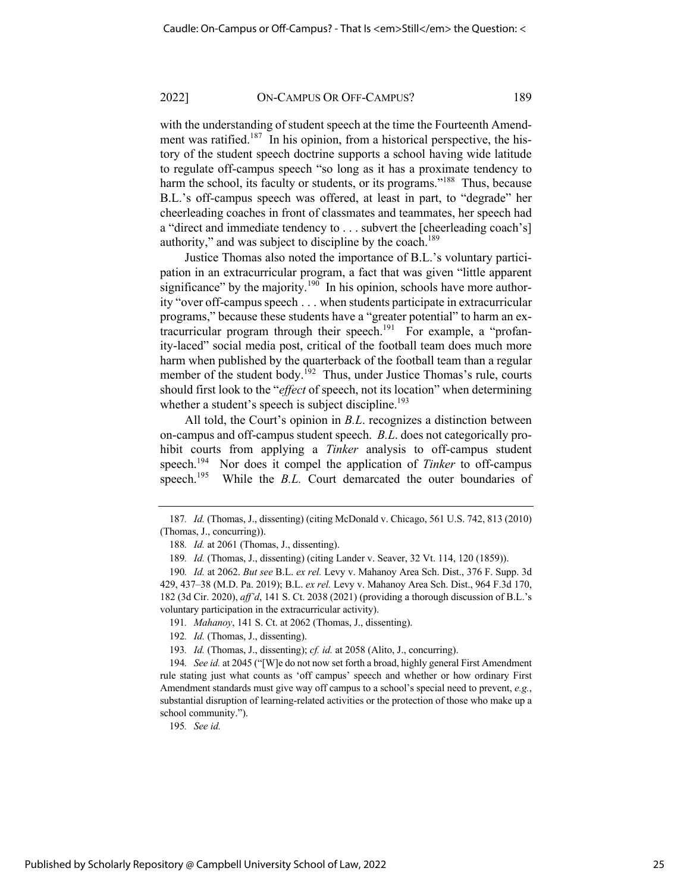with the understanding of student speech at the time the Fourteenth Amendment was ratified.<sup>187</sup> In his opinion, from a historical perspective, the history of the student speech doctrine supports a school having wide latitude to regulate off-campus speech "so long as it has a proximate tendency to harm the school, its faculty or students, or its programs."<sup>188</sup> Thus, because B.L.'s off-campus speech was offered, at least in part, to "degrade" her cheerleading coaches in front of classmates and teammates, her speech had a "direct and immediate tendency to . . . subvert the [cheerleading coach's] authority," and was subject to discipline by the coach.<sup>189</sup>

Justice Thomas also noted the importance of B.L.'s voluntary participation in an extracurricular program, a fact that was given "little apparent significance" by the majority.<sup>190</sup> In his opinion, schools have more authority "over off-campus speech . . . when students participate in extracurricular programs," because these students have a "greater potential" to harm an extracurricular program through their speech.<sup>191</sup> For example, a "profanity-laced" social media post, critical of the football team does much more harm when published by the quarterback of the football team than a regular member of the student body.<sup>192</sup> Thus, under Justice Thomas's rule, courts should first look to the "*effect* of speech, not its location" when determining whether a student's speech is subject discipline.<sup>193</sup>

All told, the Court's opinion in *B.L*. recognizes a distinction between on-campus and off-campus student speech. *B.L*. does not categorically prohibit courts from applying a *Tinker* analysis to off-campus student speech.<sup>194</sup> Nor does it compel the application of *Tinker* to off-campus speech.<sup>195</sup> While the *B.L.* Court demarcated the outer boundaries of

193*. Id.* (Thomas, J., dissenting); *cf. id.* at 2058 (Alito, J., concurring).

195*. See id.*

<sup>187</sup>*. Id.* (Thomas, J., dissenting) (citing McDonald v. Chicago, 561 U.S. 742, 813 (2010) (Thomas, J., concurring)).

<sup>188</sup>*. Id.* at 2061 (Thomas, J., dissenting).

<sup>189</sup>*. Id.* (Thomas, J., dissenting) (citing Lander v. Seaver, 32 Vt. 114, 120 (1859)).

<sup>190</sup>*. Id.* at 2062. *But see* B.L. *ex rel.* Levy v. Mahanoy Area Sch. Dist., 376 F. Supp. 3d 429, 437–38 (M.D. Pa. 2019); B.L. *ex rel.* Levy v. Mahanoy Area Sch. Dist., 964 F.3d 170, 182 (3d Cir. 2020), *aff'd*, 141 S. Ct. 2038 (2021) (providing a thorough discussion of B.L.'s voluntary participation in the extracurricular activity).

<sup>191</sup>*. Mahanoy*, 141 S. Ct. at 2062 (Thomas, J., dissenting).

<sup>192</sup>*. Id.* (Thomas, J., dissenting).

<sup>194</sup>*. See id.* at 2045 ("[W]e do not now set forth a broad, highly general First Amendment rule stating just what counts as 'off campus' speech and whether or how ordinary First Amendment standards must give way off campus to a school's special need to prevent, *e.g.*, substantial disruption of learning-related activities or the protection of those who make up a school community.").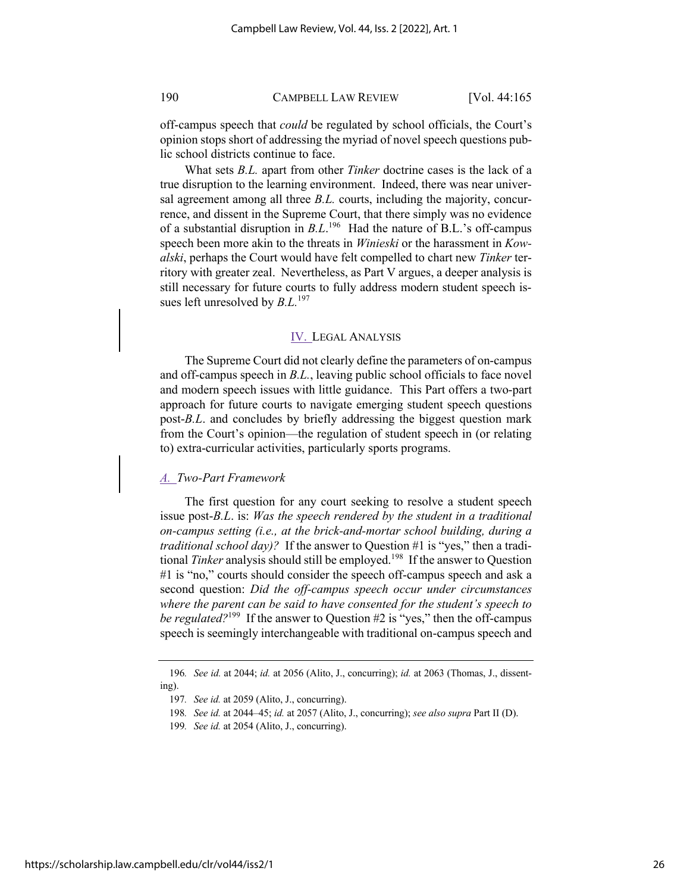off-campus speech that *could* be regulated by school officials, the Court's opinion stops short of addressing the myriad of novel speech questions public school districts continue to face.

What sets *B.L.* apart from other *Tinker* doctrine cases is the lack of a true disruption to the learning environment. Indeed, there was near universal agreement among all three *B.L.* courts, including the majority, concurrence, and dissent in the Supreme Court, that there simply was no evidence of a substantial disruption in *B.L*.<sup>196</sup> Had the nature of B.L.'s off-campus speech been more akin to the threats in *Winieski* or the harassment in *Kowalski*, perhaps the Court would have felt compelled to chart new *Tinker* territory with greater zeal. Nevertheless, as Part V argues, a deeper analysis is still necessary for future courts to fully address modern student speech issues left unresolved by *B.L.*<sup>197</sup>

## IV. LEGAL ANALYSIS

The Supreme Court did not clearly define the parameters of on-campus and off-campus speech in *B.L.*, leaving public school officials to face novel and modern speech issues with little guidance. This Part offers a two-part approach for future courts to navigate emerging student speech questions post-*B.L*. and concludes by briefly addressing the biggest question mark from the Court's opinion—the regulation of student speech in (or relating to) extra-curricular activities, particularly sports programs.

## *A. Two-Part Framework*

The first question for any court seeking to resolve a student speech issue post-*B.L*. is: *Was the speech rendered by the student in a traditional on-campus setting (i.e., at the brick-and-mortar school building, during a traditional school day)?* If the answer to Question #1 is "yes," then a traditional *Tinker* analysis should still be employed.<sup>198</sup> If the answer to Question #1 is "no," courts should consider the speech off-campus speech and ask a second question: *Did the off-campus speech occur under circumstances where the parent can be said to have consented for the student's speech to be regulated*?<sup>199</sup> If the answer to Question #2 is "yes," then the off-campus speech is seemingly interchangeable with traditional on-campus speech and

<sup>196</sup>*. See id.* at 2044; *id.* at 2056 (Alito, J., concurring); *id.* at 2063 (Thomas, J., dissenting).

<sup>197</sup>*. See id.* at 2059 (Alito, J., concurring).

<sup>198</sup>*. See id.* at 2044–45; *id.* at 2057 (Alito, J., concurring); *see also supra* Part II (D).

<sup>199</sup>*. See id.* at 2054 (Alito, J., concurring).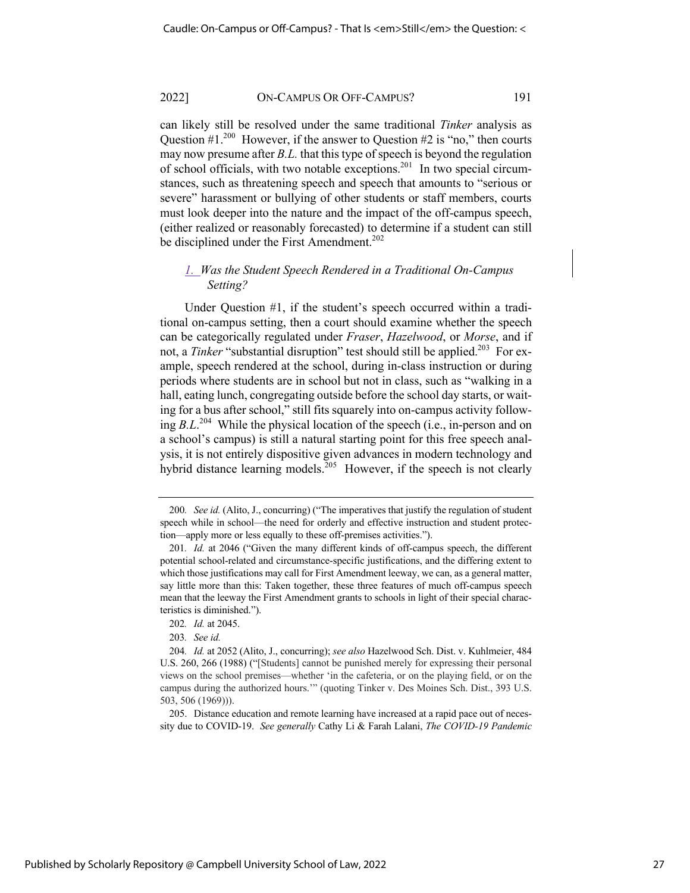can likely still be resolved under the same traditional *Tinker* analysis as Question  $\#1.^{200}$  However, if the answer to Question  $\#2$  is "no," then courts may now presume after *B.L.* that this type of speech is beyond the regulation of school officials, with two notable exceptions.<sup>201</sup> In two special circumstances, such as threatening speech and speech that amounts to "serious or severe" harassment or bullying of other students or staff members, courts must look deeper into the nature and the impact of the off-campus speech, (either realized or reasonably forecasted) to determine if a student can still be disciplined under the First Amendment.<sup>202</sup>

## *1. Was the Student Speech Rendered in a Traditional On-Campus Setting?*

Under Question #1, if the student's speech occurred within a traditional on-campus setting, then a court should examine whether the speech can be categorically regulated under *Fraser*, *Hazelwood*, or *Morse*, and if not, a *Tinker* "substantial disruption" test should still be applied.<sup>203</sup> For example, speech rendered at the school, during in-class instruction or during periods where students are in school but not in class, such as "walking in a hall, eating lunch, congregating outside before the school day starts, or waiting for a bus after school," still fits squarely into on-campus activity following *B.L*. 204 While the physical location of the speech (i.e., in-person and on a school's campus) is still a natural starting point for this free speech analysis, it is not entirely dispositive given advances in modern technology and hybrid distance learning models.<sup>205</sup> However, if the speech is not clearly

205. Distance education and remote learning have increased at a rapid pace out of necessity due to COVID-19. *See generally* Cathy Li & Farah Lalani, *The COVID-19 Pandemic* 

<sup>200</sup>*. See id.* (Alito, J., concurring) ("The imperatives that justify the regulation of student speech while in school—the need for orderly and effective instruction and student protection—apply more or less equally to these off-premises activities.").

<sup>201</sup>*. Id.* at 2046 ("Given the many different kinds of off-campus speech, the different potential school-related and circumstance-specific justifications, and the differing extent to which those justifications may call for First Amendment leeway, we can, as a general matter, say little more than this: Taken together, these three features of much off-campus speech mean that the leeway the First Amendment grants to schools in light of their special characteristics is diminished.").

<sup>202</sup>*. Id.* at 2045.

<sup>203</sup>*. See id.* 

<sup>204</sup>*. Id.* at 2052 (Alito, J., concurring); *see also* Hazelwood Sch. Dist. v. Kuhlmeier, 484 U.S. 260, 266 (1988) ("[Students] cannot be punished merely for expressing their personal views on the school premises—whether 'in the cafeteria, or on the playing field, or on the campus during the authorized hours.'" (quoting Tinker v. Des Moines Sch. Dist., 393 U.S. 503, 506 (1969))).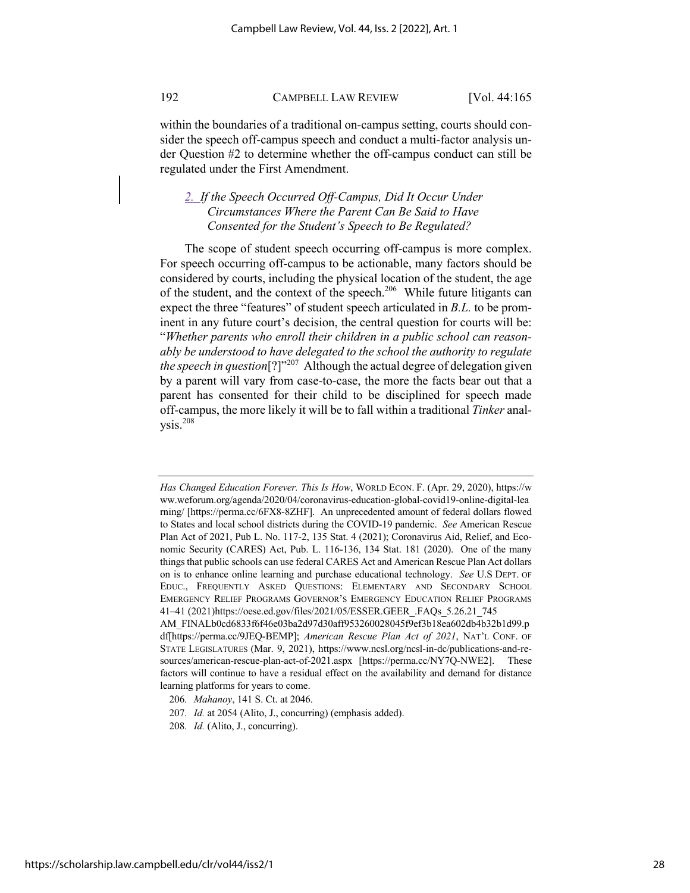within the boundaries of a traditional on-campus setting, courts should consider the speech off-campus speech and conduct a multi-factor analysis under Question #2 to determine whether the off-campus conduct can still be regulated under the First Amendment.

## *2. If the Speech Occurred Off-Campus, Did It Occur Under Circumstances Where the Parent Can Be Said to Have Consented for the Student's Speech to Be Regulated?*

The scope of student speech occurring off-campus is more complex. For speech occurring off-campus to be actionable, many factors should be considered by courts, including the physical location of the student, the age of the student, and the context of the speech.<sup>206</sup> While future litigants can expect the three "features" of student speech articulated in *B.L.* to be prominent in any future court's decision, the central question for courts will be: "*Whether parents who enroll their children in a public school can reasonably be understood to have delegated to the school the authority to regulate the speech in question*<sup>[?]"207</sup> Although the actual degree of delegation given by a parent will vary from case-to-case, the more the facts bear out that a parent has consented for their child to be disciplined for speech made off-campus, the more likely it will be to fall within a traditional *Tinker* anal $ysis.<sup>208</sup>$ 

*Has Changed Education Forever. This Is How*, WORLD ECON. F. (Apr. 29, 2020), https://w ww.weforum.org/agenda/2020/04/coronavirus-education-global-covid19-online-digital-lea rning/ [https://perma.cc/6FX8-8ZHF]. An unprecedented amount of federal dollars flowed to States and local school districts during the COVID-19 pandemic. *See* American Rescue Plan Act of 2021, Pub L. No. 117-2, 135 Stat. 4 (2021); Coronavirus Aid, Relief, and Economic Security (CARES) Act, Pub. L. 116-136, 134 Stat. 181 (2020). One of the many things that public schools can use federal CARES Act and American Rescue Plan Act dollars on is to enhance online learning and purchase educational technology. *See* U.S DEPT. OF EDUC., FREQUENTLY ASKED QUESTIONS: ELEMENTARY AND SECONDARY SCHOOL EMERGENCY RELIEF PROGRAMS GOVERNOR'S EMERGENCY EDUCATION RELIEF PROGRAMS 41–41 (2021)https://oese.ed.gov/files/2021/05/ESSER.GEER\_.FAQs\_5.26.21\_745 AM\_FINALb0cd6833f6f46e03ba2d97d30aff953260028045f9ef3b18ea602db4b32b1d99.p

df[https://perma.cc/9JEQ-BEMP]; *American Rescue Plan Act of 2021*, NAT'L CONF. OF STATE LEGISLATURES (Mar. 9, 2021), https://www.ncsl.org/ncsl-in-dc/publications-and-resources/american-rescue-plan-act-of-2021.aspx [https://perma.cc/NY7Q-NWE2]. These factors will continue to have a residual effect on the availability and demand for distance learning platforms for years to come.

<sup>206</sup>*. Mahanoy*, 141 S. Ct. at 2046.

<sup>207</sup>*. Id.* at 2054 (Alito, J., concurring) (emphasis added).

<sup>208</sup>*. Id.* (Alito, J., concurring).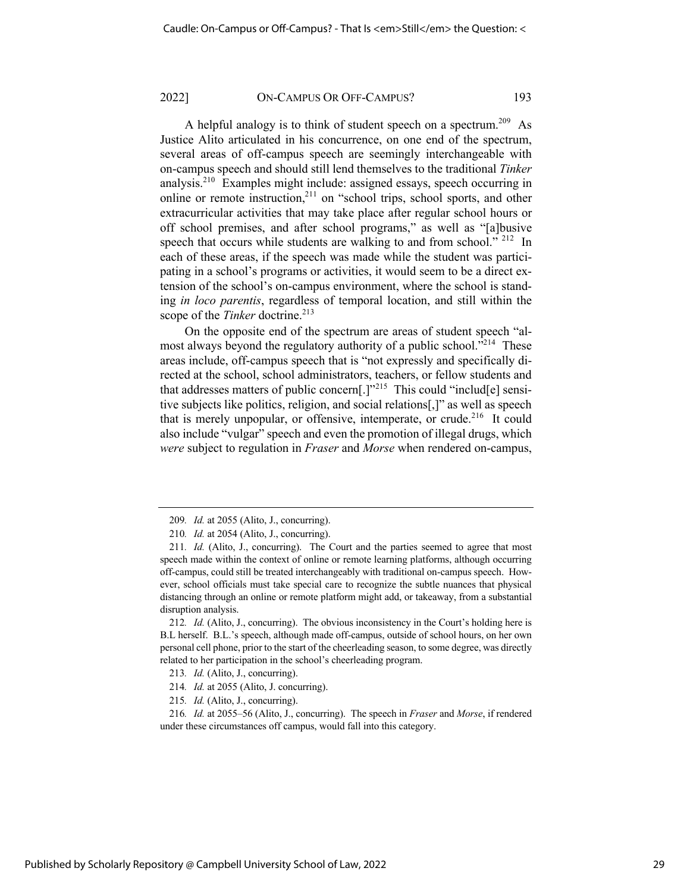A helpful analogy is to think of student speech on a spectrum.<sup>209</sup> As Justice Alito articulated in his concurrence, on one end of the spectrum, several areas of off-campus speech are seemingly interchangeable with on-campus speech and should still lend themselves to the traditional *Tinker* analysis.210 Examples might include: assigned essays, speech occurring in online or remote instruction, $^{211}$  on "school trips, school sports, and other extracurricular activities that may take place after regular school hours or off school premises, and after school programs," as well as "[a]busive speech that occurs while students are walking to and from school."  $212$  In each of these areas, if the speech was made while the student was participating in a school's programs or activities, it would seem to be a direct extension of the school's on-campus environment, where the school is standing *in loco parentis*, regardless of temporal location, and still within the scope of the *Tinker* doctrine.<sup>213</sup>

On the opposite end of the spectrum are areas of student speech "almost always beyond the regulatory authority of a public school."<sup>214</sup> These areas include, off-campus speech that is "not expressly and specifically directed at the school, school administrators, teachers, or fellow students and that addresses matters of public concern[.] $v^{215}$  This could "includ[e] sensitive subjects like politics, religion, and social relations[,]" as well as speech that is merely unpopular, or offensive, intemperate, or crude.<sup>216</sup> It could also include "vulgar" speech and even the promotion of illegal drugs, which *were* subject to regulation in *Fraser* and *Morse* when rendered on-campus,

<sup>209</sup>*. Id.* at 2055 (Alito, J., concurring).

<sup>210</sup>*. Id.* at 2054 (Alito, J., concurring).

<sup>211</sup>*. Id.* (Alito, J., concurring). The Court and the parties seemed to agree that most speech made within the context of online or remote learning platforms, although occurring off-campus, could still be treated interchangeably with traditional on-campus speech. However, school officials must take special care to recognize the subtle nuances that physical distancing through an online or remote platform might add, or takeaway, from a substantial disruption analysis.

<sup>212</sup>*. Id.* (Alito, J., concurring). The obvious inconsistency in the Court's holding here is B.L herself. B.L.'s speech, although made off-campus, outside of school hours, on her own personal cell phone, prior to the start of the cheerleading season, to some degree, was directly related to her participation in the school's cheerleading program.

<sup>213</sup>*. Id.* (Alito, J., concurring).

<sup>214</sup>*. Id.* at 2055 (Alito, J. concurring).

<sup>215</sup>*. Id.* (Alito, J., concurring).

<sup>216</sup>*. Id.* at 2055–56 (Alito, J., concurring). The speech in *Fraser* and *Morse*, if rendered under these circumstances off campus, would fall into this category.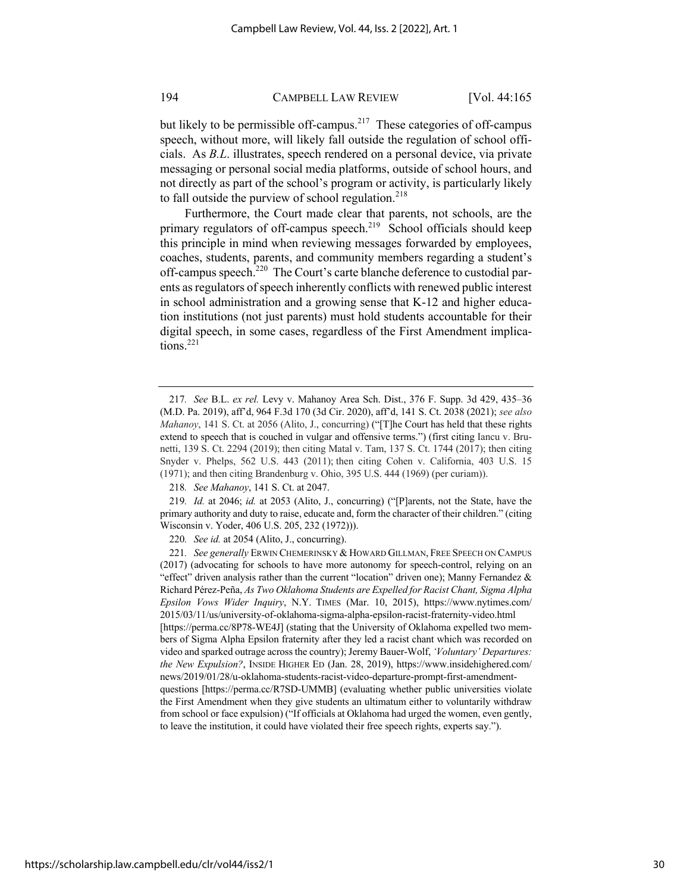but likely to be permissible off-campus.<sup>217</sup> These categories of off-campus speech, without more, will likely fall outside the regulation of school officials. As *B.L*. illustrates, speech rendered on a personal device, via private messaging or personal social media platforms, outside of school hours, and not directly as part of the school's program or activity, is particularly likely to fall outside the purview of school regulation. $218$ 

Furthermore, the Court made clear that parents, not schools, are the primary regulators of off-campus speech.<sup>219</sup> School officials should keep this principle in mind when reviewing messages forwarded by employees, coaches, students, parents, and community members regarding a student's off-campus speech.<sup>220</sup> The Court's carte blanche deference to custodial parents as regulators of speech inherently conflicts with renewed public interest in school administration and a growing sense that K-12 and higher education institutions (not just parents) must hold students accountable for their digital speech, in some cases, regardless of the First Amendment implications.<sup>221</sup>

<sup>217</sup>*. See* B.L. *ex rel.* Levy v. Mahanoy Area Sch. Dist., 376 F. Supp. 3d 429, 435–36 (M.D. Pa. 2019), aff'd, 964 F.3d 170 (3d Cir. 2020), aff'd, 141 S. Ct. 2038 (2021); *see also Mahanoy*, 141 S. Ct. at 2056 (Alito, J., concurring) ("[T]he Court has held that these rights extend to speech that is couched in vulgar and offensive terms.") (first citing Iancu v. Brunetti, 139 S. Ct. 2294 (2019); then citing Matal v. Tam, 137 S. Ct. 1744 (2017); then citing Snyder v. Phelps, 562 U.S. 443 (2011); then citing Cohen v. California, 403 U.S. 15 (1971); and then citing Brandenburg v. Ohio, 395 U.S. 444 (1969) (per curiam)).

<sup>218</sup>*. See Mahanoy*, 141 S. Ct. at 2047.

<sup>219</sup>*. Id.* at 2046; *id.* at 2053 (Alito, J., concurring) ("[P]arents, not the State, have the primary authority and duty to raise, educate and, form the character of their children." (citing Wisconsin v. Yoder, 406 U.S. 205, 232 (1972))).

<sup>220</sup>*. See id.* at 2054 (Alito, J., concurring).

<sup>221</sup>*. See generally* ERWIN CHEMERINSKY &HOWARD GILLMAN, FREE SPEECH ON CAMPUS (2017) (advocating for schools to have more autonomy for speech-control, relying on an "effect" driven analysis rather than the current "location" driven one); Manny Fernandez  $\&$ Richard Pérez-Peña, *As Two Oklahoma Students are Expelled for Racist Chant, Sigma Alpha Epsilon Vows Wider Inquiry*, N.Y. TIMES (Mar. 10, 2015), https://www.nytimes.com/ 2015/03/11/us/university-of-oklahoma-sigma-alpha-epsilon-racist-fraternity-video.html [https://perma.cc/8P78-WE4J] (stating that the University of Oklahoma expelled two members of Sigma Alpha Epsilon fraternity after they led a racist chant which was recorded on video and sparked outrage across the country); Jeremy Bauer-Wolf, *'Voluntary' Departures: the New Expulsion?*, INSIDE HIGHER ED (Jan. 28, 2019), https://www.insidehighered.com/ news/2019/01/28/u-oklahoma-students-racist-video-departure-prompt-first-amendmentquestions [https://perma.cc/R7SD-UMMB] (evaluating whether public universities violate the First Amendment when they give students an ultimatum either to voluntarily withdraw from school or face expulsion) ("If officials at Oklahoma had urged the women, even gently, to leave the institution, it could have violated their free speech rights, experts say.").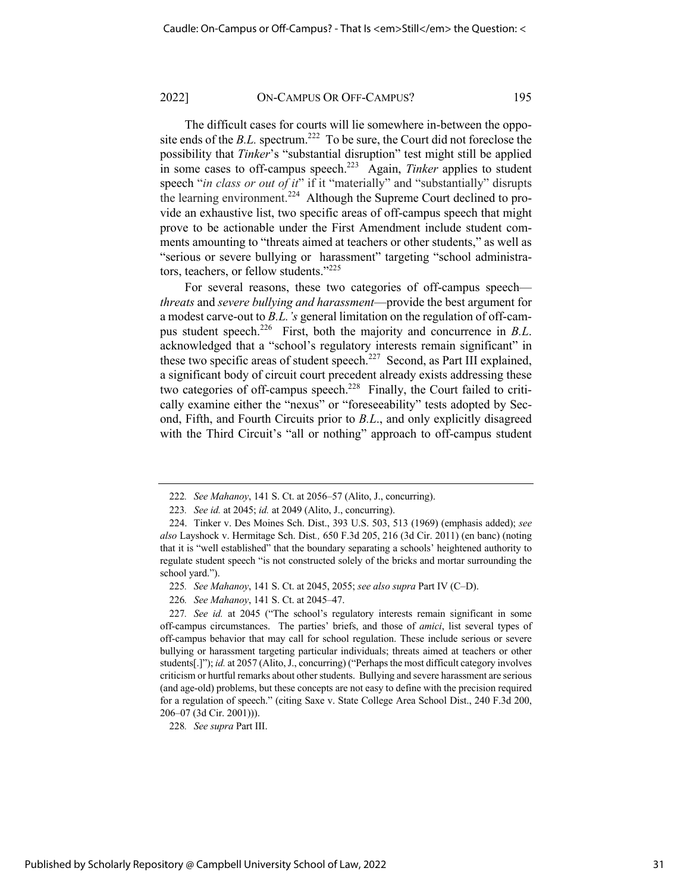The difficult cases for courts will lie somewhere in-between the opposite ends of the *B.L.* spectrum.<sup>222</sup> To be sure, the Court did not foreclose the possibility that *Tinker*'s "substantial disruption" test might still be applied in some cases to off-campus speech.223 Again, *Tinker* applies to student speech "*in class or out of it*" if it "materially" and "substantially" disrupts the learning environment.<sup>224</sup> Although the Supreme Court declined to provide an exhaustive list, two specific areas of off-campus speech that might prove to be actionable under the First Amendment include student comments amounting to "threats aimed at teachers or other students," as well as "serious or severe bullying or harassment" targeting "school administrators, teachers, or fellow students."<sup>225</sup>

For several reasons, these two categories of off-campus speech *threats* and *severe bullying and harassment*—provide the best argument for a modest carve-out to *B.L.'s* general limitation on the regulation of off-campus student speech.226 First, both the majority and concurrence in *B.L*. acknowledged that a "school's regulatory interests remain significant" in these two specific areas of student speech.<sup>227</sup> Second, as Part III explained, a significant body of circuit court precedent already exists addressing these two categories of off-campus speech.<sup>228</sup> Finally, the Court failed to critically examine either the "nexus" or "foreseeability" tests adopted by Second, Fifth, and Fourth Circuits prior to *B.L*., and only explicitly disagreed with the Third Circuit's "all or nothing" approach to off-campus student

228*. See supra* Part III.

<sup>222</sup>*. See Mahanoy*, 141 S. Ct. at 2056–57 (Alito, J., concurring).

<sup>223</sup>*. See id.* at 2045; *id.* at 2049 (Alito, J., concurring).

<sup>224.</sup> Tinker v. Des Moines Sch. Dist., 393 U.S. 503, 513 (1969) (emphasis added); *see also* Layshock v. Hermitage Sch. Dist*.,* 650 F.3d 205, 216 (3d Cir. 2011) (en banc) (noting that it is "well established" that the boundary separating a schools' heightened authority to regulate student speech "is not constructed solely of the bricks and mortar surrounding the school yard.").

<sup>225</sup>*. See Mahanoy*, 141 S. Ct. at 2045, 2055; *see also supra* Part IV (C–D).

<sup>226</sup>*. See Mahanoy*, 141 S. Ct. at 2045–47.

<sup>227</sup>*. See id.* at 2045 ("The school's regulatory interests remain significant in some off-campus circumstances. The parties' briefs, and those of *amici*, list several types of off-campus behavior that may call for school regulation. These include serious or severe bullying or harassment targeting particular individuals; threats aimed at teachers or other students[.]"); *id.* at 2057 (Alito, J., concurring) ("Perhaps the most difficult category involves criticism or hurtful remarks about other students. Bullying and severe harassment are serious (and age-old) problems, but these concepts are not easy to define with the precision required for a regulation of speech." (citing Saxe v. State College Area School Dist., 240 F.3d 200, 206–07 (3d Cir. 2001))).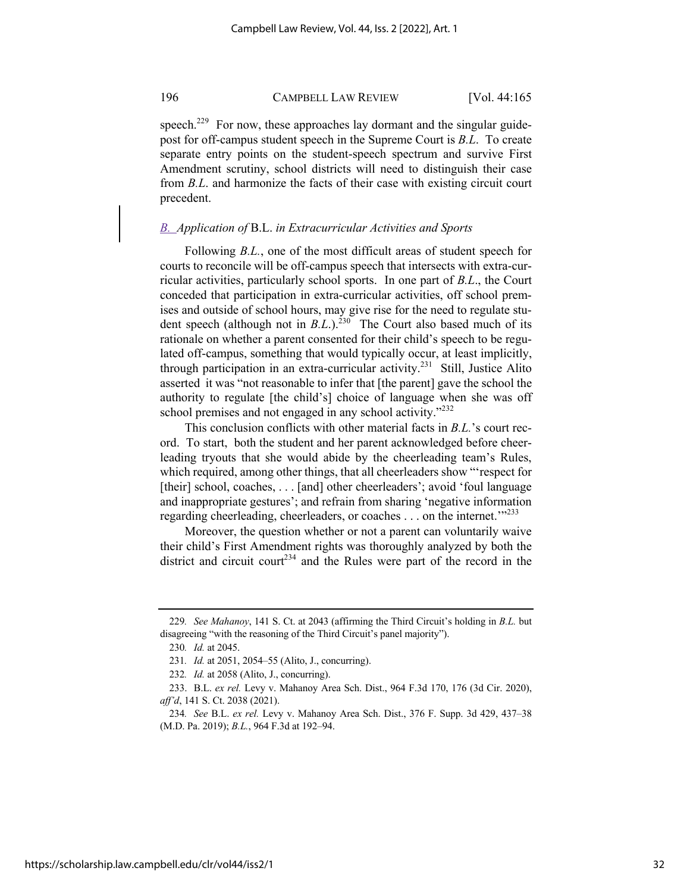speech.<sup>229</sup> For now, these approaches lay dormant and the singular guidepost for off-campus student speech in the Supreme Court is *B.L*. To create separate entry points on the student-speech spectrum and survive First Amendment scrutiny, school districts will need to distinguish their case from *B.L*. and harmonize the facts of their case with existing circuit court precedent.

## *B. Application of* B.L. *in Extracurricular Activities and Sports*

Following *B.L.*, one of the most difficult areas of student speech for courts to reconcile will be off-campus speech that intersects with extra-curricular activities, particularly school sports. In one part of *B.L*., the Court conceded that participation in extra-curricular activities, off school premises and outside of school hours, may give rise for the need to regulate student speech (although not in *B.L.*).<sup>230</sup> The Court also based much of its rationale on whether a parent consented for their child's speech to be regulated off-campus, something that would typically occur, at least implicitly, through participation in an extra-curricular activity.<sup>231</sup> Still, Justice Alito asserted it was "not reasonable to infer that [the parent] gave the school the authority to regulate [the child's] choice of language when she was off school premises and not engaged in any school activity."<sup>232</sup>

This conclusion conflicts with other material facts in *B.L.*'s court record. To start, both the student and her parent acknowledged before cheerleading tryouts that she would abide by the cheerleading team's Rules, which required, among other things, that all cheerleaders show "'respect for [their] school, coaches, . . . [and] other cheerleaders'; avoid 'foul language and inappropriate gestures'; and refrain from sharing 'negative information regarding cheerleading, cheerleaders, or coaches . . . on the internet."<sup>233</sup>

Moreover, the question whether or not a parent can voluntarily waive their child's First Amendment rights was thoroughly analyzed by both the district and circuit court<sup>234</sup> and the Rules were part of the record in the

<sup>229</sup>*. See Mahanoy*, 141 S. Ct. at 2043 (affirming the Third Circuit's holding in *B.L.* but disagreeing "with the reasoning of the Third Circuit's panel majority").

<sup>230</sup>*. Id.* at 2045.

<sup>231</sup>*. Id.* at 2051, 2054–55 (Alito, J., concurring).

<sup>232</sup>*. Id.* at 2058 (Alito, J., concurring).

<sup>233.</sup> B.L. *ex rel.* Levy v. Mahanoy Area Sch. Dist., 964 F.3d 170, 176 (3d Cir. 2020), *aff'd*, 141 S. Ct. 2038 (2021).

<sup>234</sup>*. See* B.L. *ex rel.* Levy v. Mahanoy Area Sch. Dist., 376 F. Supp. 3d 429, 437–38 (M.D. Pa. 2019); *B.L.*, 964 F.3d at 192–94.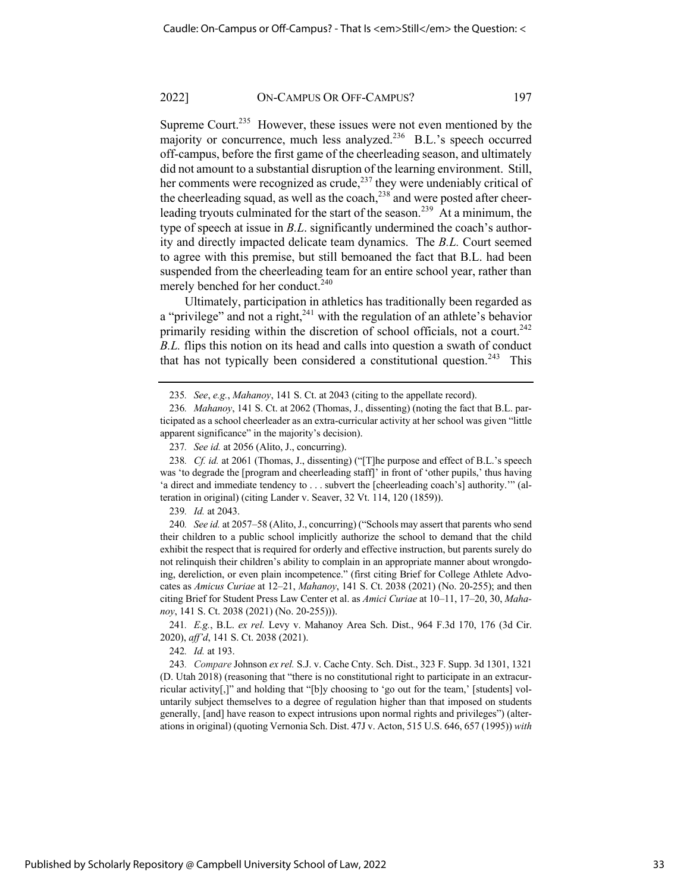Supreme Court.<sup>235</sup> However, these issues were not even mentioned by the majority or concurrence, much less analyzed.<sup>236</sup> B.L.'s speech occurred off-campus, before the first game of the cheerleading season, and ultimately did not amount to a substantial disruption of the learning environment. Still, her comments were recognized as crude,<sup>237</sup> they were undeniably critical of the cheerleading squad, as well as the coach,<sup>238</sup> and were posted after cheerleading tryouts culminated for the start of the season.<sup>239</sup> At a minimum, the type of speech at issue in *B.L*. significantly undermined the coach's authority and directly impacted delicate team dynamics. The *B.L.* Court seemed to agree with this premise, but still bemoaned the fact that B.L. had been suspended from the cheerleading team for an entire school year, rather than merely benched for her conduct.<sup>240</sup>

Ultimately, participation in athletics has traditionally been regarded as a "privilege" and not a right, $2^{41}$  with the regulation of an athlete's behavior primarily residing within the discretion of school officials, not a court.<sup>242</sup> *B.L.* flips this notion on its head and calls into question a swath of conduct that has not typically been considered a constitutional question.<sup>243</sup> This

239*. Id.* at 2043.

240*. See id.* at 2057–58 (Alito, J., concurring) ("Schools may assert that parents who send their children to a public school implicitly authorize the school to demand that the child exhibit the respect that is required for orderly and effective instruction, but parents surely do not relinquish their children's ability to complain in an appropriate manner about wrongdoing, dereliction, or even plain incompetence." (first citing Brief for College Athlete Advocates as *Amicus Curiae* at 12–21, *Mahanoy*, 141 S. Ct. 2038 (2021) (No. 20-255); and then citing Brief for Student Press Law Center et al. as *Amici Curiae* at 10–11, 17–20, 30, *Mahanoy*, 141 S. Ct. 2038 (2021) (No. 20-255))).

241*. E.g.*, B.L. *ex rel.* Levy v. Mahanoy Area Sch. Dist., 964 F.3d 170, 176 (3d Cir. 2020), *aff'd*, 141 S. Ct. 2038 (2021).

242*. Id.* at 193.

243*. Compare* Johnson *ex rel.* S.J. v. Cache Cnty. Sch. Dist., 323 F. Supp. 3d 1301, 1321 (D. Utah 2018) (reasoning that "there is no constitutional right to participate in an extracurricular activity[,]" and holding that "[b]y choosing to 'go out for the team,' [students] voluntarily subject themselves to a degree of regulation higher than that imposed on students generally, [and] have reason to expect intrusions upon normal rights and privileges") (alterations in original) (quoting Vernonia Sch. Dist. 47J v. Acton, 515 U.S. 646, 657 (1995)) *with* 

<sup>235</sup>*. See*, *e.g.*, *Mahanoy*, 141 S. Ct. at 2043 (citing to the appellate record).

<sup>236</sup>*. Mahanoy*, 141 S. Ct. at 2062 (Thomas, J., dissenting) (noting the fact that B.L. participated as a school cheerleader as an extra-curricular activity at her school was given "little apparent significance" in the majority's decision).

<sup>237</sup>*. See id.* at 2056 (Alito, J., concurring).

<sup>238</sup>*. Cf. id.* at 2061 (Thomas, J., dissenting) ("[T]he purpose and effect of B.L.'s speech was 'to degrade the [program and cheerleading staff]' in front of 'other pupils,' thus having 'a direct and immediate tendency to . . . subvert the [cheerleading coach's] authority.'" (alteration in original) (citing Lander v. Seaver, 32 Vt. 114, 120 (1859)).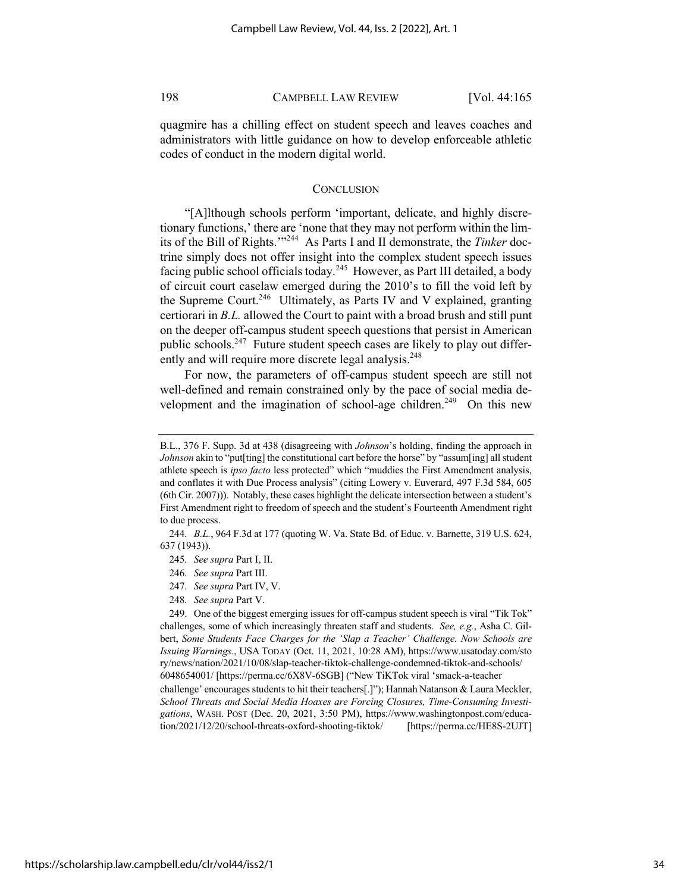quagmire has a chilling effect on student speech and leaves coaches and administrators with little guidance on how to develop enforceable athletic codes of conduct in the modern digital world.

## **CONCLUSION**

"[A]lthough schools perform 'important, delicate, and highly discretionary functions,' there are 'none that they may not perform within the limits of the Bill of Rights.'"244 As Parts I and II demonstrate, the *Tinker* doctrine simply does not offer insight into the complex student speech issues facing public school officials today.<sup>245</sup> However, as Part III detailed, a body of circuit court caselaw emerged during the 2010's to fill the void left by the Supreme Court.<sup>246</sup> Ultimately, as Parts IV and V explained, granting certiorari in *B.L.* allowed the Court to paint with a broad brush and still punt on the deeper off-campus student speech questions that persist in American public schools.<sup>247</sup> Future student speech cases are likely to play out differently and will require more discrete legal analysis.<sup>248</sup>

For now, the parameters of off-campus student speech are still not well-defined and remain constrained only by the pace of social media development and the imagination of school-age children.<sup>249</sup> On this new

- 246*. See supra* Part III.
- 247*. See supra* Part IV, V.
- 248*. See supra* Part V.

B.L., 376 F. Supp. 3d at 438 (disagreeing with *Johnson*'s holding, finding the approach in *Johnson* akin to "put[ting] the constitutional cart before the horse" by "assum[ing] all student athlete speech is *ipso facto* less protected" which "muddies the First Amendment analysis, and conflates it with Due Process analysis" (citing Lowery v. Euverard, 497 F.3d 584, 605 (6th Cir. 2007))). Notably, these cases highlight the delicate intersection between a student's First Amendment right to freedom of speech and the student's Fourteenth Amendment right to due process.

<sup>244</sup>*. B.L.*, 964 F.3d at 177 (quoting W. Va. State Bd. of Educ. v. Barnette, 319 U.S. 624, 637 (1943)).

<sup>245</sup>*. See supra* Part I, II.

<sup>249.</sup> One of the biggest emerging issues for off-campus student speech is viral "Tik Tok" challenges, some of which increasingly threaten staff and students. *See, e.g.*, Asha C. Gilbert, *Some Students Face Charges for the 'Slap a Teacher' Challenge. Now Schools are Issuing Warnings.*, USA TODAY (Oct. 11, 2021, 10:28 AM), https://www.usatoday.com/sto ry/news/nation/2021/10/08/slap-teacher-tiktok-challenge-condemned-tiktok-and-schools/ 6048654001/ [https://perma.cc/6X8V-6SGB] ("New TiKTok viral 'smack-a-teacher

challenge' encourages students to hit their teachers[.]"); Hannah Natanson & Laura Meckler, *School Threats and Social Media Hoaxes are Forcing Closures, Time-Consuming Investigations*, WASH. POST (Dec. 20, 2021, 3:50 PM), https://www.washingtonpost.com/education/2021/12/20/school-threats-oxford-shooting-tiktok/ [https://perma.cc/HE8S-2UJT]